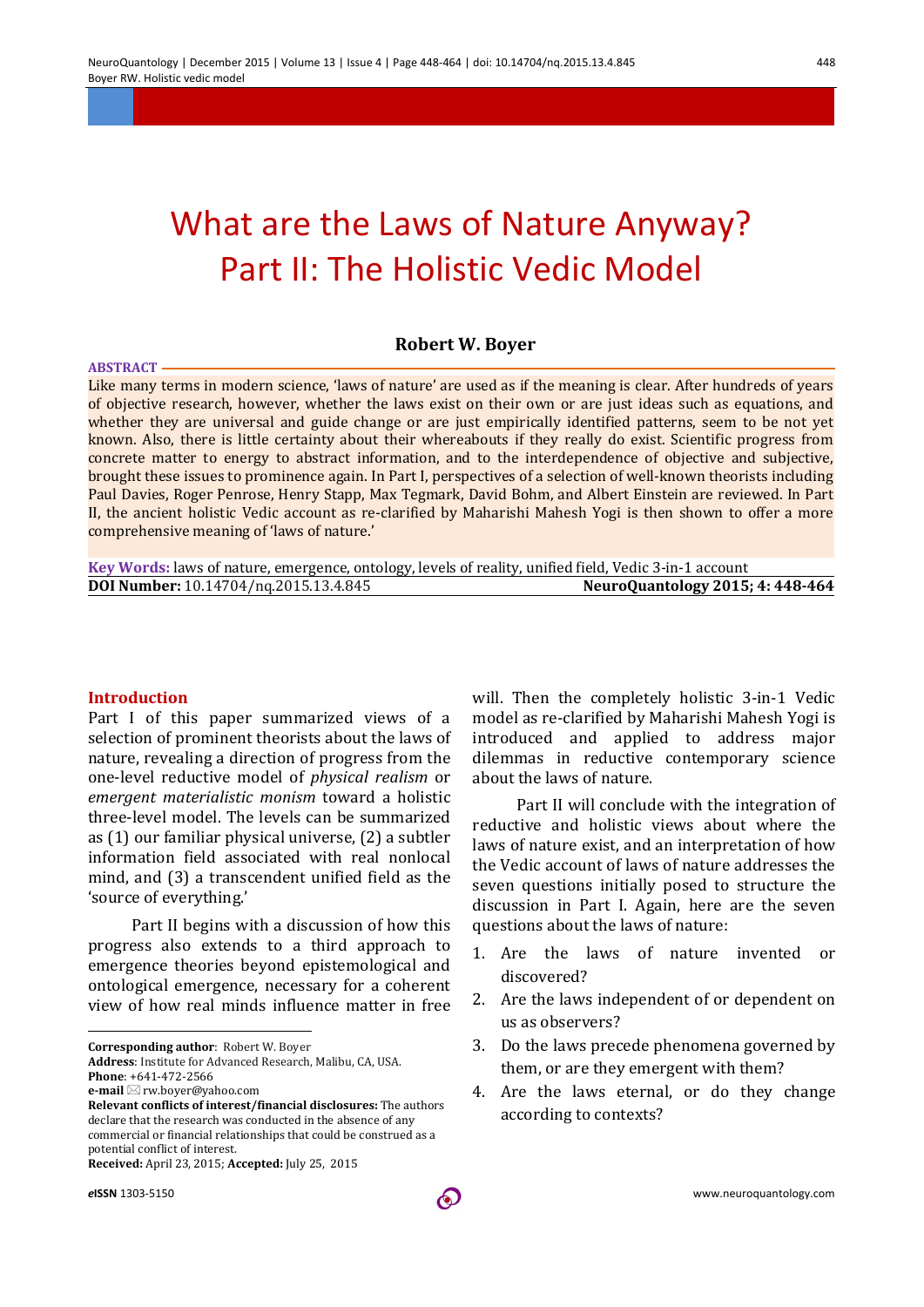# What are the Laws of Nature Anyway? Part II: The Holistic Vedic Model

#### **Robert W. Boyer**

#### **ABSTRACT**

Like many terms in modern science, 'laws of nature' are used as if the meaning is clear. After hundreds of years of objective research, however, whether the laws exist on their own or are just ideas such as equations, and whether they are universal and guide change or are just empirically identified patterns, seem to be not yet known. Also, there is little certainty about their whereabouts if they really do exist. Scientific progress from concrete matter to energy to abstract information, and to the interdependence of objective and subjective, brought these issues to prominence again. In Part I, perspectives of a selection of well-known theorists including Paul Davies, Roger Penrose, Henry Stapp, Max Tegmark, David Bohm, and Albert Einstein are reviewed. In Part II, the ancient holistic Vedic account as re-clarified by Maharishi Mahesh Yogi is then shown to offer a more comprehensive meaning of 'laws of nature.'

**Key Words:** laws of nature, emergence, ontology, levels of reality, unified field, Vedic 3-in-1 account **DOI Number:** 10.14704/nq.2015.13.4.845 **NeuroQuantology 2015; 4: 448-464**

#### **Introduction**

Part I of this paper summarized views of a selection of prominent theorists about the laws of nature, revealing a direction of progress from the one-level reductive model of *physical realism* or *emergent materialistic monism* toward a holistic three-level model. The levels can be summarized as (1) our familiar physical universe, (2) a subtler information field associated with real nonlocal mind, and (3) a transcendent unified field as the 'source of everything.'

Part II begins with a discussion of how this progress also extends to a third approach to emergence theories beyond epistemological and ontological emergence, necessary for a coherent view of how real minds influence matter in free

**Corresponding author**: Robert W. Boyer

**Address**: Institute for Advanced Research, Malibu, CA, USA. **Phone**: +641-472-2566

will. Then the completely holistic 3-in-1 Vedic model as re-clarified by Maharishi Mahesh Yogi is introduced and applied to address major dilemmas in reductive contemporary science about the laws of nature.

Part II will conclude with the integration of reductive and holistic views about where the laws of nature exist, and an interpretation of how the Vedic account of laws of nature addresses the seven questions initially posed to structure the discussion in Part I. Again, here are the seven questions about the laws of nature:

- 1. Are the laws of nature invented or discovered?
- 2. Are the laws independent of or dependent on us as observers?
- 3. Do the laws precede phenomena governed by them, or are they emergent with them?
- 4. Are the laws eternal, or do they change according to contexts?

 $\overline{a}$ 

**e-mail** rw.boyer@yahoo.com

**Relevant conflicts of interest/financial disclosures:** The authors declare that the research was conducted in the absence of any commercial or financial relationships that could be construed as a potential conflict of interest. **Received:** April 23, 2015; **Accepted:** July 25, 2015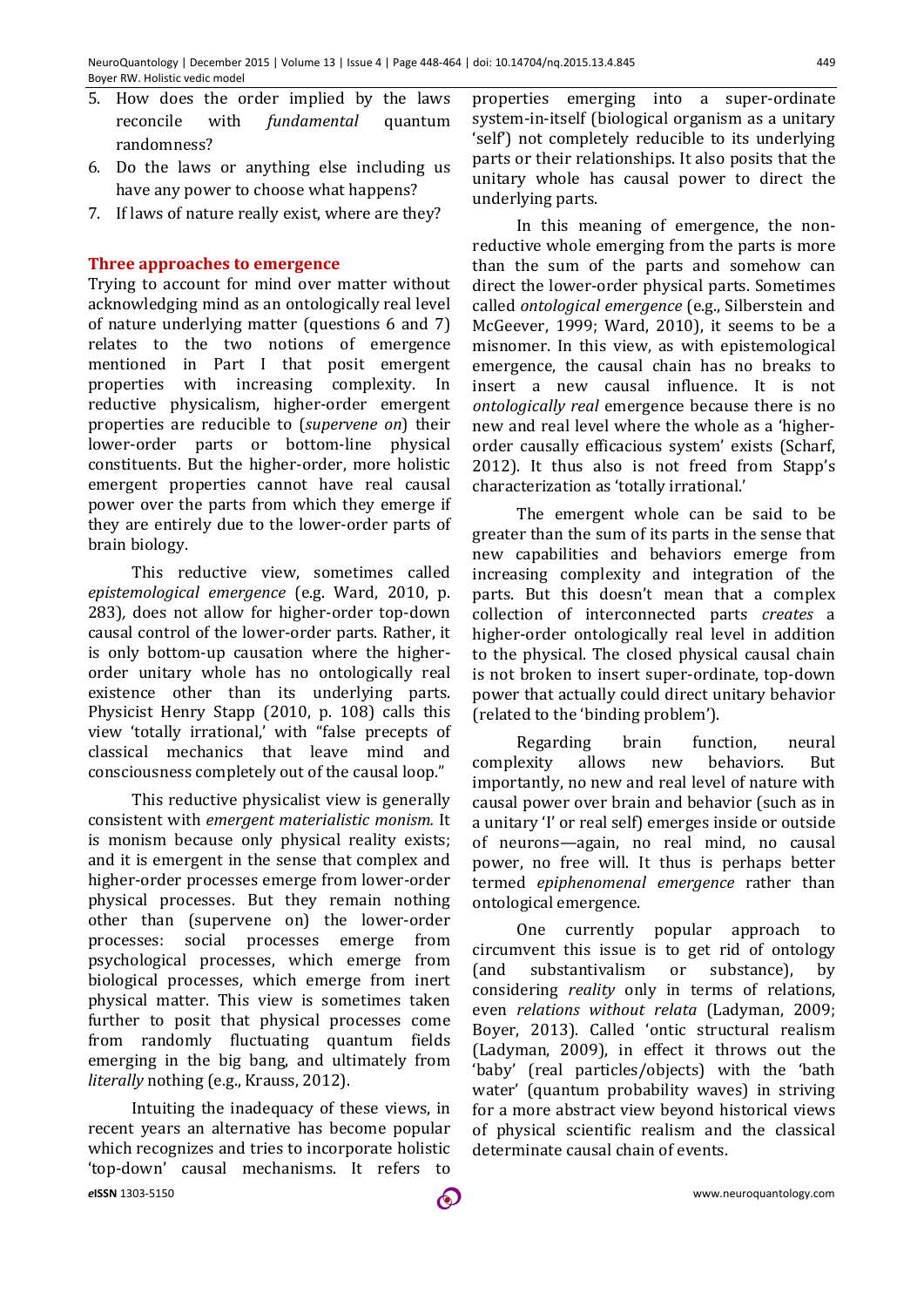- 5. How does the order implied by the laws reconcile with *fundamental*  quantum randomness?
- 6. Do the laws or anything else including us have any power to choose what happens?
- 7. If laws of nature really exist, where are they?

### **Three approaches to emergence**

Trying to account for mind over matter without acknowledging mind as an ontologically real level of nature underlying matter (questions 6 and 7) relates to the two notions of emergence mentioned in Part I that posit emergent properties with increasing complexity. In reductive physicalism, higher-order emergent properties are reducible to (*supervene on*) their lower-order parts or bottom-line physical constituents. But the higher-order, more holistic emergent properties cannot have real causal power over the parts from which they emerge if they are entirely due to the lower-order parts of brain biology.

This reductive view, sometimes called *epistemological emergence* (e.g. Ward, 2010, p. 283), does not allow for higher-order top-down causal control of the lower-order parts. Rather, it is only bottom-up causation where the higherorder unitary whole has no ontologically real existence other than its underlying parts. Physicist Henry Stapp (2010, p. 108) calls this view 'totally irrational,' with "false precepts of classical mechanics that leave mind and consciousness completely out of the causal loop."

This reductive physicalist view is generally consistent with *emergent materialistic monism.* It is monism because only physical reality exists; and it is emergent in the sense that complex and higher-order processes emerge from lower-order physical processes. But they remain nothing other than (supervene on) the lower-order processes: social processes emerge from psychological processes, which emerge from biological processes, which emerge from inert physical matter. This view is sometimes taken further to posit that physical processes come from randomly fluctuating quantum fields emerging in the big bang, and ultimately from *literally* nothing (e.g., Krauss, 2012).

*e***ISSN** 1303-5150 www.neuroquantology.com Intuiting the inadequacy of these views, in recent years an alternative has become popular which recognizes and tries to incorporate holistic 'top-down' causal mechanisms. It refers to

properties emerging into a super-ordinate system-in-itself (biological organism as a unitary 'self') not completely reducible to its underlying parts or their relationships. It also posits that the unitary whole has causal power to direct the underlying parts.

In this meaning of emergence, the nonreductive whole emerging from the parts is more than the sum of the parts and somehow can direct the lower-order physical parts. Sometimes called *ontological emergence* (e.g., Silberstein and McGeever, 1999; Ward, 2010), it seems to be a misnomer. In this view, as with epistemological emergence, the causal chain has no breaks to insert a new causal influence. It is not *ontologically real* emergence because there is no new and real level where the whole as a 'higherorder causally efficacious system' exists (Scharf, 2012). It thus also is not freed from Stapp's characterization as 'totally irrational.'

The emergent whole can be said to be greater than the sum of its parts in the sense that new capabilities and behaviors emerge from increasing complexity and integration of the parts. But this doesn't mean that a complex collection of interconnected parts *creates* a higher-order ontologically real level in addition to the physical. The closed physical causal chain is not broken to insert super-ordinate, top-down power that actually could direct unitary behavior (related to the 'binding problem').

Regarding brain function, neural complexity allows new behaviors. But importantly, no new and real level of nature with causal power over brain and behavior (such as in a unitary 'I' or real self) emerges inside or outside of neurons—again, no real mind, no causal power, no free will. It thus is perhaps better termed *epiphenomenal emergence* rather than ontological emergence.

One currently popular approach to circumvent this issue is to get rid of ontology (and substantivalism or substance), by considering *reality* only in terms of relations, even *relations without relata* (Ladyman, 2009; Boyer, 2013). Called 'ontic structural realism (Ladyman, 2009), in effect it throws out the 'baby' (real particles/objects) with the 'bath water' (quantum probability waves) in striving for a more abstract view beyond historical views of physical scientific realism and the classical determinate causal chain of events.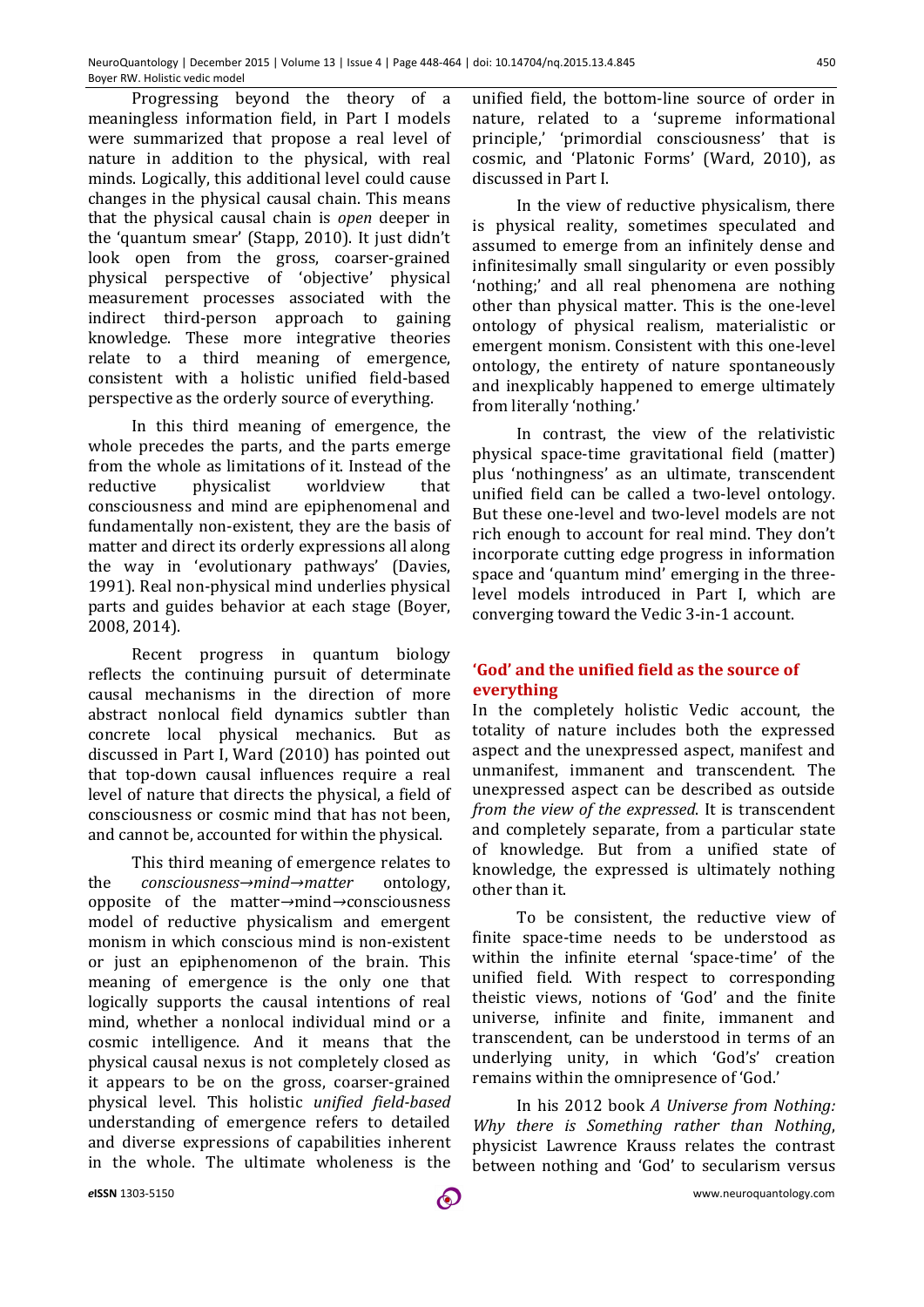Progressing beyond the theory of a meaningless information field, in Part I models were summarized that propose a real level of nature in addition to the physical, with real minds. Logically, this additional level could cause changes in the physical causal chain. This means that the physical causal chain is *open* deeper in the 'quantum smear' (Stapp, 2010). It just didn't look open from the gross, coarser-grained physical perspective of 'objective' physical measurement processes associated with the indirect third-person approach to gaining knowledge. These more integrative theories relate to a third meaning of emergence, consistent with a holistic unified field-based perspective as the orderly source of everything.

In this third meaning of emergence, the whole precedes the parts, and the parts emerge from the whole as limitations of it. Instead of the reductive physicalist worldview that consciousness and mind are epiphenomenal and fundamentally non-existent, they are the basis of matter and direct its orderly expressions all along the way in 'evolutionary pathways' (Davies, 1991). Real non-physical mind underlies physical parts and guides behavior at each stage (Boyer, 2008, 2014).

Recent progress in quantum biology reflects the continuing pursuit of determinate causal mechanisms in the direction of more abstract nonlocal field dynamics subtler than concrete local physical mechanics. But as discussed in Part I, Ward (2010) has pointed out that top-down causal influences require a real level of nature that directs the physical, a field of consciousness or cosmic mind that has not been, and cannot be, accounted for within the physical.

This third meaning of emergence relates to the *consciousness→mind→matter*  ontology, opposite of the matter*→*mind*→*consciousness model of reductive physicalism and emergent monism in which conscious mind is non-existent or just an epiphenomenon of the brain. This meaning of emergence is the only one that logically supports the causal intentions of real mind, whether a nonlocal individual mind or a cosmic intelligence. And it means that the physical causal nexus is not completely closed as it appears to be on the gross, coarser-grained physical level. This holistic *unified field-based* understanding of emergence refers to detailed and diverse expressions of capabilities inherent in the whole. The ultimate wholeness is the

unified field, the bottom-line source of order in nature, related to a 'supreme informational principle,' 'primordial consciousness' that is cosmic, and 'Platonic Forms' (Ward, 2010), as discussed in Part I.

In the view of reductive physicalism, there is physical reality, sometimes speculated and assumed to emerge from an infinitely dense and infinitesimally small singularity or even possibly 'nothing;' and all real phenomena are nothing other than physical matter. This is the one-level ontology of physical realism, materialistic or emergent monism. Consistent with this one-level ontology, the entirety of nature spontaneously and inexplicably happened to emerge ultimately from literally 'nothing.'

In contrast, the view of the relativistic physical space-time gravitational field (matter) plus 'nothingness' as an ultimate, transcendent unified field can be called a two-level ontology. But these one-level and two-level models are not rich enough to account for real mind. They don't incorporate cutting edge progress in information space and 'quantum mind' emerging in the threelevel models introduced in Part I, which are converging toward the Vedic 3-in-1 account.

## **'God' and the unified field as the source of everything**

In the completely holistic Vedic account, the totality of nature includes both the expressed aspect and the unexpressed aspect, manifest and unmanifest, immanent and transcendent. The unexpressed aspect can be described as outside *from the view of the expressed.* It is transcendent and completely separate, from a particular state of knowledge. But from a unified state of knowledge, the expressed is ultimately nothing other than it.

To be consistent, the reductive view of finite space-time needs to be understood as within the infinite eternal 'space-time' of the unified field. With respect to corresponding theistic views, notions of 'God' and the finite universe, infinite and finite, immanent and transcendent, can be understood in terms of an underlying unity, in which 'God's' creation remains within the omnipresence of 'God.'

In his 2012 book *A Universe from Nothing: Why there is Something rather than Nothing*, physicist Lawrence Krauss relates the contrast between nothing and 'God' to secularism versus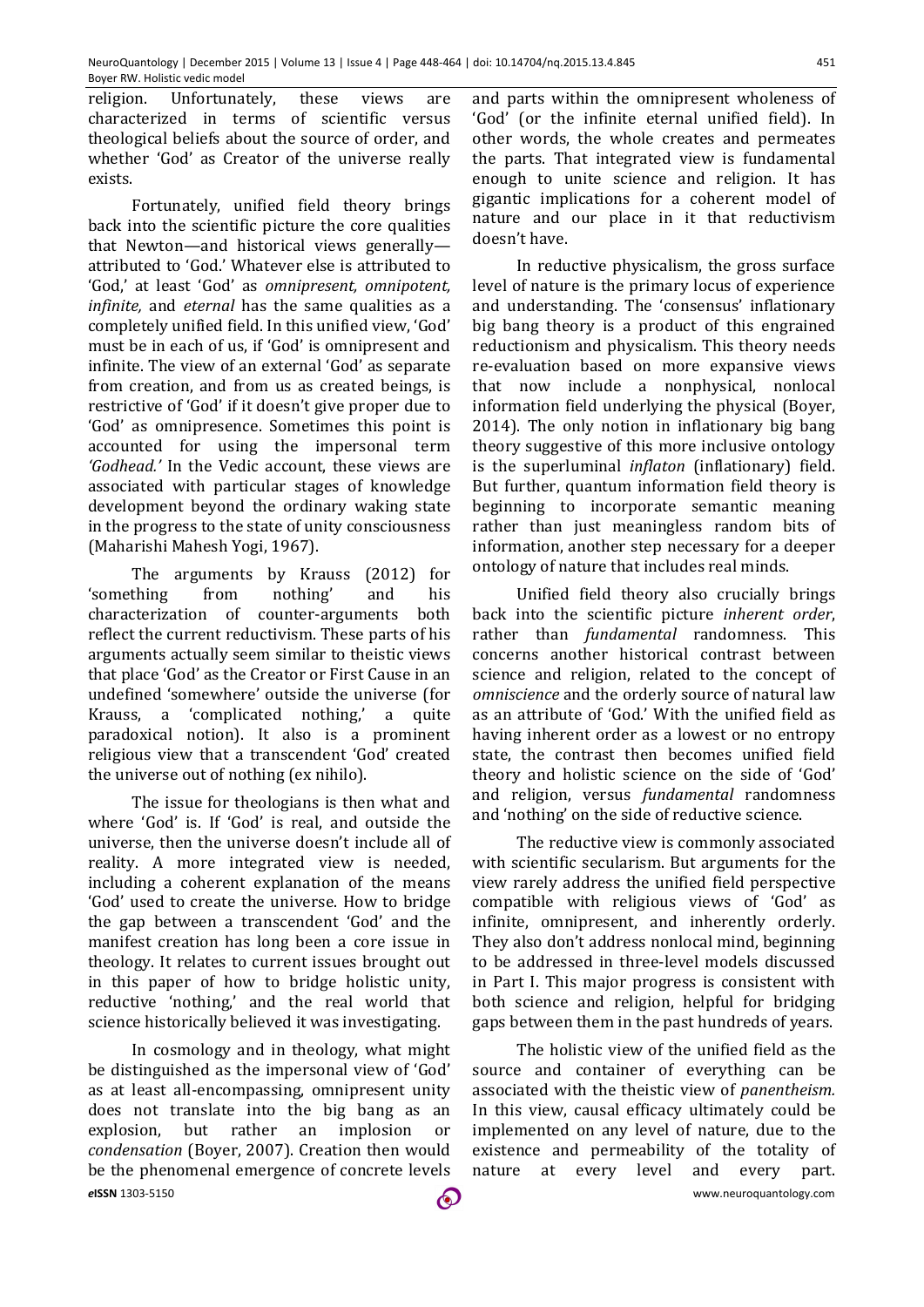religion. Unfortunately, these views are characterized in terms of scientific versus theological beliefs about the source of order, and whether 'God' as Creator of the universe really exists.

Fortunately, unified field theory brings back into the scientific picture the core qualities that Newton—and historical views generally attributed to 'God.' Whatever else is attributed to 'God,' at least 'God' as *omnipresent*, *omnipotent*, *infinite*, and *eternal* has the same qualities as a completely unified field. In this unified view, 'God' must be in each of us, if 'God' is omnipresent and infinite. The view of an external 'God' as separate from creation, and from us as created beings, is restrictive of 'God' if it doesn't give proper due to 'God' as omnipresence. Sometimes this point is accounted for using the impersonal term *'Godhead.'* In the Vedic account, these views are associated with particular stages of knowledge development beyond the ordinary waking state in the progress to the state of unity consciousness (Maharishi Mahesh Yogi, 1967).

The arguments by Krauss (2012) for 'something from nothing' and his characterization of counter-arguments both reflect the current reductivism. These parts of his arguments actually seem similar to theistic views that place 'God' as the Creator or First Cause in an undefined 'somewhere' outside the universe (for Krauss, a 'complicated nothing,' a quite paradoxical notion). It also is a prominent religious view that a transcendent 'God' created the universe out of nothing (ex nihilo).

The issue for theologians is then what and where 'God' is. If 'God' is real, and outside the universe, then the universe doesn't include all of reality. A more integrated view is needed, including a coherent explanation of the means 'God' used to create the universe. How to bridge the gap between a transcendent 'God' and the manifest creation has long been a core issue in theology. It relates to current issues brought out in this paper of how to bridge holistic unity, reductive 'nothing,' and the real world that science historically believed it was investigating.

*e***ISSN** 1303-5150 www.neuroquantology.com In cosmology and in theology, what might be distinguished as the impersonal view of 'God' as at least all-encompassing, omnipresent unity does not translate into the big bang as an explosion, but rather an implosion or *condensation* (Boyer, 2007). Creation then would be the phenomenal emergence of concrete levels

and parts within the omnipresent wholeness of 'God' (or the infinite eternal unified field). In other words, the whole creates and permeates the parts. That integrated view is fundamental enough to unite science and religion. It has gigantic implications for a coherent model of nature and our place in it that reductivism doesn't have.

In reductive physicalism, the gross surface level of nature is the primary locus of experience and understanding. The 'consensus' inflationary big bang theory is a product of this engrained reductionism and physicalism. This theory needs re-evaluation based on more expansive views that now include a nonphysical, nonlocal information field underlying the physical (Boyer, 2014). The only notion in inflationary big bang theory suggestive of this more inclusive ontology is the superluminal *inflaton* (inflationary) field. But further, quantum information field theory is beginning to incorporate semantic meaning rather than just meaningless random bits of information, another step necessary for a deeper ontology of nature that includes real minds.

Unified field theory also crucially brings back into the scientific picture *inherent* order, rather than *fundamental*  randomness. This concerns another historical contrast between science and religion, related to the concept of *omniscience* and the orderly source of natural law as an attribute of 'God.' With the unified field as having inherent order as a lowest or no entropy state, the contrast then becomes unified field theory and holistic science on the side of 'God' and religion, versus *fundamental*  randomness and 'nothing' on the side of reductive science.

The reductive view is commonly associated with scientific secularism. But arguments for the view rarely address the unified field perspective compatible with religious views of 'God' as infinite, omnipresent, and inherently orderly. They also don't address nonlocal mind, beginning to be addressed in three-level models discussed in Part I. This major progress is consistent with both science and religion, helpful for bridging gaps between them in the past hundreds of years.

The holistic view of the unified field as the source and container of everything can be associated with the theistic view of *panentheism.*  In this view, causal efficacy ultimately could be implemented on any level of nature, due to the existence and permeability of the totality of nature at every level and every part.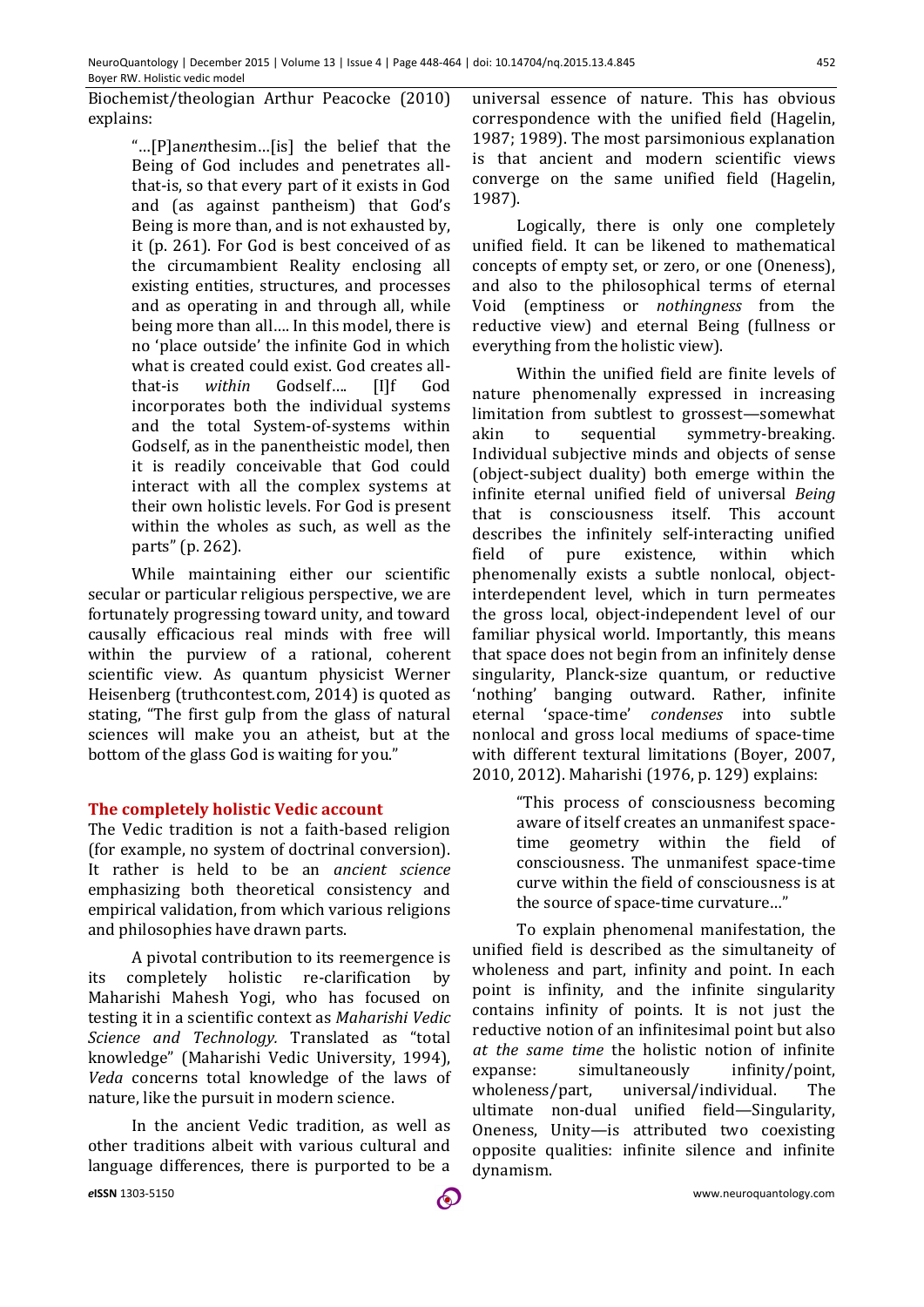Biochemist/theologian Arthur Peacocke (2010) explains:

> "…[P]an*en*thesim…[is] the belief that the Being of God includes and penetrates allthat-is, so that every part of it exists in God and (as against pantheism) that God's Being is more than, and is not exhausted by, it (p. 261). For God is best conceived of as the circumambient Reality enclosing all existing entities, structures, and processes and as operating in and through all, while being more than all…. In this model, there is no 'place outside' the infinite God in which what is created could exist. God creates allthat-is *within*  Godself…. [I]f God incorporates both the individual systems and the total System-of-systems within Godself, as in the panentheistic model, then it is readily conceivable that God could interact with all the complex systems at their own holistic levels. For God is present within the wholes as such, as well as the parts" (p. 262).

While maintaining either our scientific secular or particular religious perspective, we are fortunately progressing toward unity, and toward causally efficacious real minds with free will within the purview of a rational, coherent scientific view. As quantum physicist Werner Heisenberg (truthcontest.com, 2014) is quoted as stating, "The first gulp from the glass of natural sciences will make you an atheist, but at the bottom of the glass God is waiting for you."

#### **The completely holistic Vedic account**

The Vedic tradition is not a faith-based religion (for example, no system of doctrinal conversion). It rather is held to be an *ancient science* emphasizing both theoretical consistency and empirical validation, from which various religions and philosophies have drawn parts.

A pivotal contribution to its reemergence is its completely holistic re-clarification by Maharishi Mahesh Yogi, who has focused on testing it in a scientific context as *Maharishi Vedic Science and Technology.*  Translated as "total knowledge" (Maharishi Vedic University, 1994), *Veda*  concerns total knowledge of the laws of nature, like the pursuit in modern science.

In the ancient Vedic tradition, as well as other traditions albeit with various cultural and language differences, there is purported to be a

universal essence of nature. This has obvious correspondence with the unified field (Hagelin, 1987; 1989). The most parsimonious explanation is that ancient and modern scientific views converge on the same unified field (Hagelin, 1987).

Logically, there is only one completely unified field. It can be likened to mathematical concepts of empty set, or zero, or one (Oneness), and also to the philosophical terms of eternal Void (emptiness or *nothingness* from the reductive view) and eternal Being (fullness or everything from the holistic view).

Within the unified field are finite levels of nature phenomenally expressed in increasing limitation from subtlest to grossest—somewhat akin to sequential symmetry-breaking. Individual subjective minds and objects of sense (object-subject duality) both emerge within the infinite eternal unified field of universal *Being* that is consciousness itself. This account describes the infinitely self-interacting unified field of pure existence, within which phenomenally exists a subtle nonlocal, objectinterdependent level, which in turn permeates the gross local, object-independent level of our familiar physical world. Importantly, this means that space does not begin from an infinitely dense singularity, Planck-size quantum, or reductive 'nothing' banging outward. Rather, infinite eternal 'space-time' *condenses*  into subtle nonlocal and gross local mediums of space-time with different textural limitations (Boyer, 2007, 2010, 2012). Maharishi (1976, p. 129) explains:

> "This process of consciousness becoming aware of itself creates an unmanifest spacetime geometry within the field of consciousness. The unmanifest space-time curve within the field of consciousness is at the source of space-time curvature…"

To explain phenomenal manifestation, the unified field is described as the simultaneity of wholeness and part, infinity and point. In each point is infinity, and the infinite singularity contains infinity of points. It is not just the reductive notion of an infinitesimal point but also *at the same time* the holistic notion of infinite expanse: simultaneously infinity/point, wholeness/part, universal/individual. The ultimate non-dual unified field—Singularity, Oneness, Unity—is attributed two coexisting opposite qualities: infinite silence and infinite dynamism.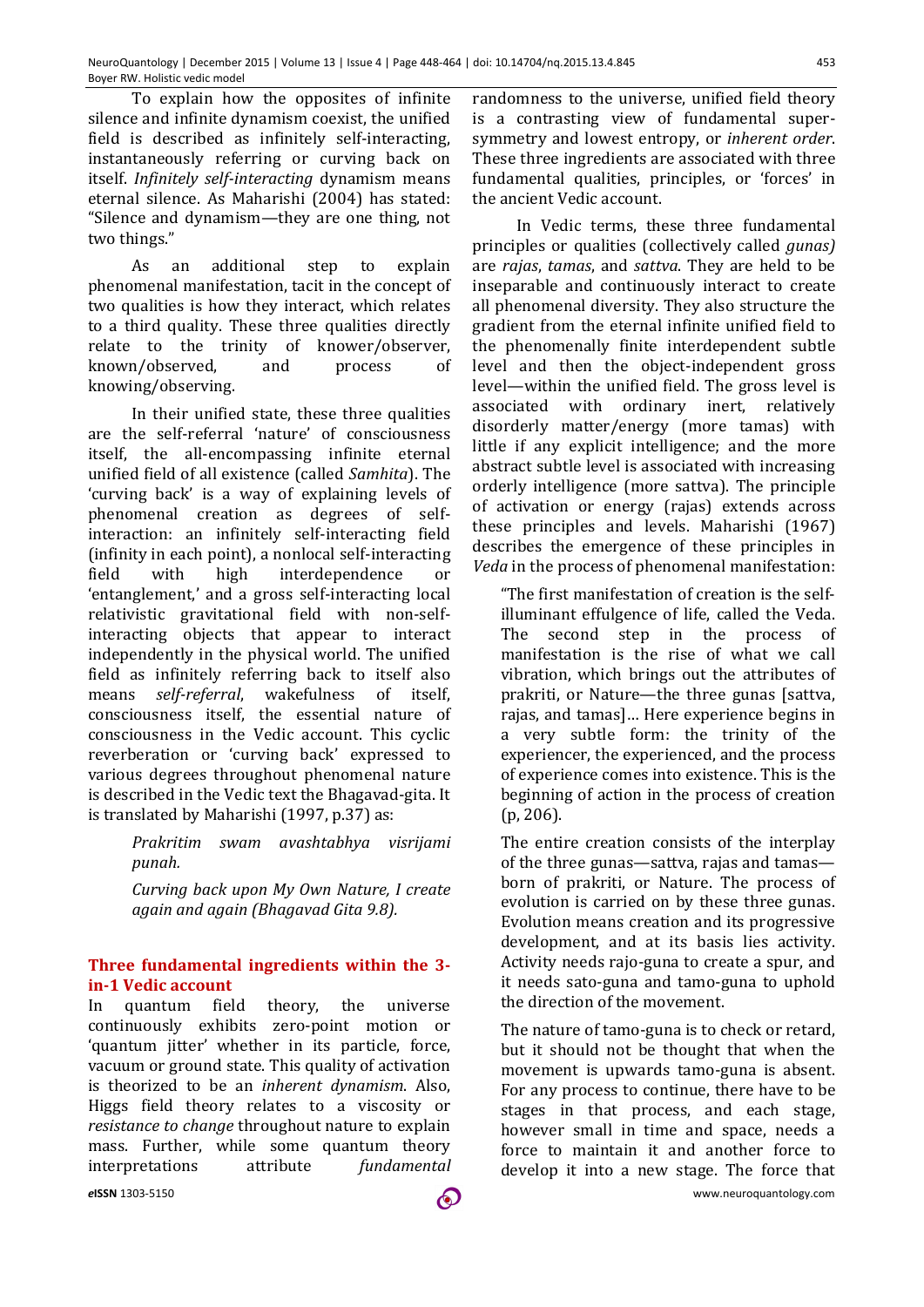To explain how the opposites of infinite silence and infinite dynamism coexist, the unified field is described as infinitely self-interacting, instantaneously referring or curving back on itself. *Infinitely self-interacting* dynamism means eternal silence. As Maharishi (2004) has stated: "Silence and dynamism—they are one thing, not two things."

As an additional step to explain phenomenal manifestation, tacit in the concept of two qualities is how they interact, which relates to a third quality. These three qualities directly relate to the trinity of knower/observer, known/observed, and process of knowing/observing.

In their unified state, these three qualities are the self-referral 'nature' of consciousness itself, the all-encompassing infinite eternal unified field of all existence (called *Samhita*). The 'curving back' is a way of explaining levels of phenomenal creation as degrees of selfinteraction: an infinitely self-interacting field (infinity in each point), a nonlocal self-interacting field with high interdependence or 'entanglement,' and a gross self-interacting local relativistic gravitational field with non-selfinteracting objects that appear to interact independently in the physical world. The unified field as infinitely referring back to itself also means *self-referral*, wakefulness of itself, consciousness itself, the essential nature of consciousness in the Vedic account. This cyclic reverberation or 'curving back' expressed to various degrees throughout phenomenal nature is described in the Vedic text the Bhagavad-gita. It is translated by Maharishi (1997, p.37) as:

> *Prakritim swam avashtabhya visrijami punah.*

> *Curving back upon My Own Nature, I create again and again (Bhagavad Gita 9.8).*

## **Three fundamental ingredients within the 3 in-1 Vedic account**

In quantum field theory, the universe continuously exhibits zero-point motion or 'quantum jitter' whether in its particle, force, vacuum or ground state. This quality of activation is theorized to be an *inherent dynamism*. Also, Higgs field theory relates to a viscosity or *resistance to change* throughout nature to explain mass. Further, while some quantum theory interpretations attribute *fundamental*

randomness to the universe, unified field theory is a contrasting view of fundamental supersymmetry and lowest entropy, or *inherent order*. These three ingredients are associated with three fundamental qualities, principles, or 'forces' in the ancient Vedic account.

In Vedic terms, these three fundamental principles or qualities (collectively called *gunas*) are *rajas*, *tamas*, and *sattva*. They are held to be inseparable and continuously interact to create all phenomenal diversity. They also structure the gradient from the eternal infinite unified field to the phenomenally finite interdependent subtle level and then the object-independent gross level—within the unified field. The gross level is associated with ordinary inert, relatively disorderly matter/energy (more tamas) with little if any explicit intelligence; and the more abstract subtle level is associated with increasing orderly intelligence (more sattva). The principle of activation or energy (rajas) extends across these principles and levels. Maharishi (1967) describes the emergence of these principles in *Veda* in the process of phenomenal manifestation:

"The first manifestation of creation is the selfilluminant effulgence of life, called the Veda. The second step in the process of manifestation is the rise of what we call vibration, which brings out the attributes of prakriti, or Nature—the three gunas [sattva, rajas, and tamas]… Here experience begins in a very subtle form: the trinity of the experiencer, the experienced, and the process of experience comes into existence. This is the beginning of action in the process of creation (p, 206).

The entire creation consists of the interplay of the three gunas—sattva, rajas and tamas born of prakriti, or Nature. The process of evolution is carried on by these three gunas. Evolution means creation and its progressive development, and at its basis lies activity. Activity needs rajo-guna to create a spur, and it needs sato-guna and tamo-guna to uphold the direction of the movement.

The nature of tamo-guna is to check or retard, but it should not be thought that when the movement is upwards tamo-guna is absent. For any process to continue, there have to be stages in that process, and each stage, however small in time and space, needs a force to maintain it and another force to develop it into a new stage. The force that

*e***ISSN** 1303-5150 www.neuroquantology.com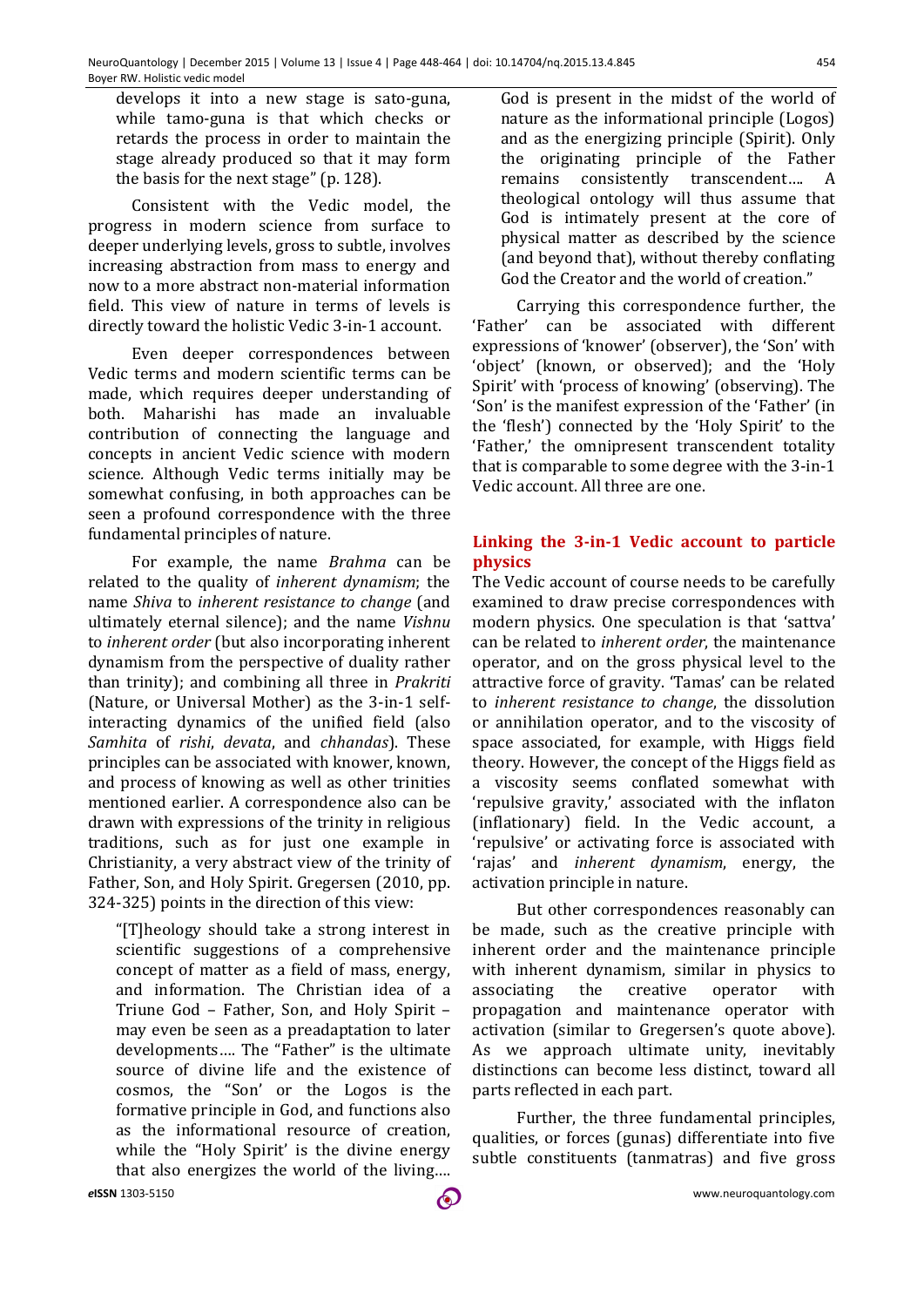develops it into a new stage is sato-guna, while tamo-guna is that which checks or retards the process in order to maintain the stage already produced so that it may form the basis for the next stage" (p. 128).

Consistent with the Vedic model, the progress in modern science from surface to deeper underlying levels, gross to subtle, involves increasing abstraction from mass to energy and now to a more abstract non-material information field. This view of nature in terms of levels is directly toward the holistic Vedic 3-in-1 account.

Even deeper correspondences between Vedic terms and modern scientific terms can be made, which requires deeper understanding of both. Maharishi has made an invaluable contribution of connecting the language and concepts in ancient Vedic science with modern science*.* Although Vedic terms initially may be somewhat confusing, in both approaches can be seen a profound correspondence with the three fundamental principles of nature.

For example, the name *Brahma* can be related to the quality of *inherent dynamism*; the name *Shiva* to *inherent resistance to change* (and ultimately eternal silence); and the name *Vishnu* to *inherent order* (but also incorporating inherent dynamism from the perspective of duality rather than trinity); and combining all three in *Prakriti* (Nature, or Universal Mother) as the 3-in-1 selfinteracting dynamics of the unified field (also *Samhita*  of *rishi*, *devata*, and *chhandas*). These principles can be associated with knower, known, and process of knowing as well as other trinities mentioned earlier. A correspondence also can be drawn with expressions of the trinity in religious traditions, such as for just one example in Christianity, a very abstract view of the trinity of Father, Son, and Holy Spirit. Gregersen (2010, pp. 324-325) points in the direction of this view:

"[T]heology should take a strong interest in scientific suggestions of a comprehensive concept of matter as a field of mass, energy, and information. The Christian idea of a Triune God – Father, Son, and Holy Spirit – may even be seen as a preadaptation to later developments…. The "Father" is the ultimate source of divine life and the existence of cosmos, the "Son' or the Logos is the formative principle in God, and functions also as the informational resource of creation, while the "Holy Spirit' is the divine energy that also energizes the world of the living….

God is present in the midst of the world of nature as the informational principle (Logos) and as the energizing principle (Spirit). Only the originating principle of the Father remains consistently transcendent…. A theological ontology will thus assume that God is intimately present at the core of physical matter as described by the science (and beyond that), without thereby conflating God the Creator and the world of creation."

Carrying this correspondence further, the 'Father' can be associated with different expressions of 'knower' (observer), the 'Son' with 'object' (known, or observed); and the 'Holy Spirit' with 'process of knowing' (observing). The 'Son' is the manifest expression of the 'Father' (in the 'flesh') connected by the 'Holy Spirit' to the 'Father,' the omnipresent transcendent totality that is comparable to some degree with the 3-in-1 Vedic account. All three are one.

## **Linking the 3-in-1 Vedic account to particle physics**

The Vedic account of course needs to be carefully examined to draw precise correspondences with modern physics. One speculation is that 'sattva' can be related to *inherent order*, the maintenance operator, and on the gross physical level to the attractive force of gravity. 'Tamas' can be related to *inherent resistance to change*, the dissolution or annihilation operator, and to the viscosity of space associated, for example, with Higgs field theory. However, the concept of the Higgs field as a viscosity seems conflated somewhat with 'repulsive gravity,' associated with the inflaton (inflationary) field. In the Vedic account, a 'repulsive' or activating force is associated with 'rajas' and *inherent dynamism*, energy, the activation principle in nature.

But other correspondences reasonably can be made, such as the creative principle with inherent order and the maintenance principle with inherent dynamism, similar in physics to associating the creative operator with propagation and maintenance operator with activation (similar to Gregersen's quote above). As we approach ultimate unity, inevitably distinctions can become less distinct, toward all parts reflected in each part.

Further, the three fundamental principles, qualities, or forces (gunas) differentiate into five subtle constituents (tanmatras) and five gross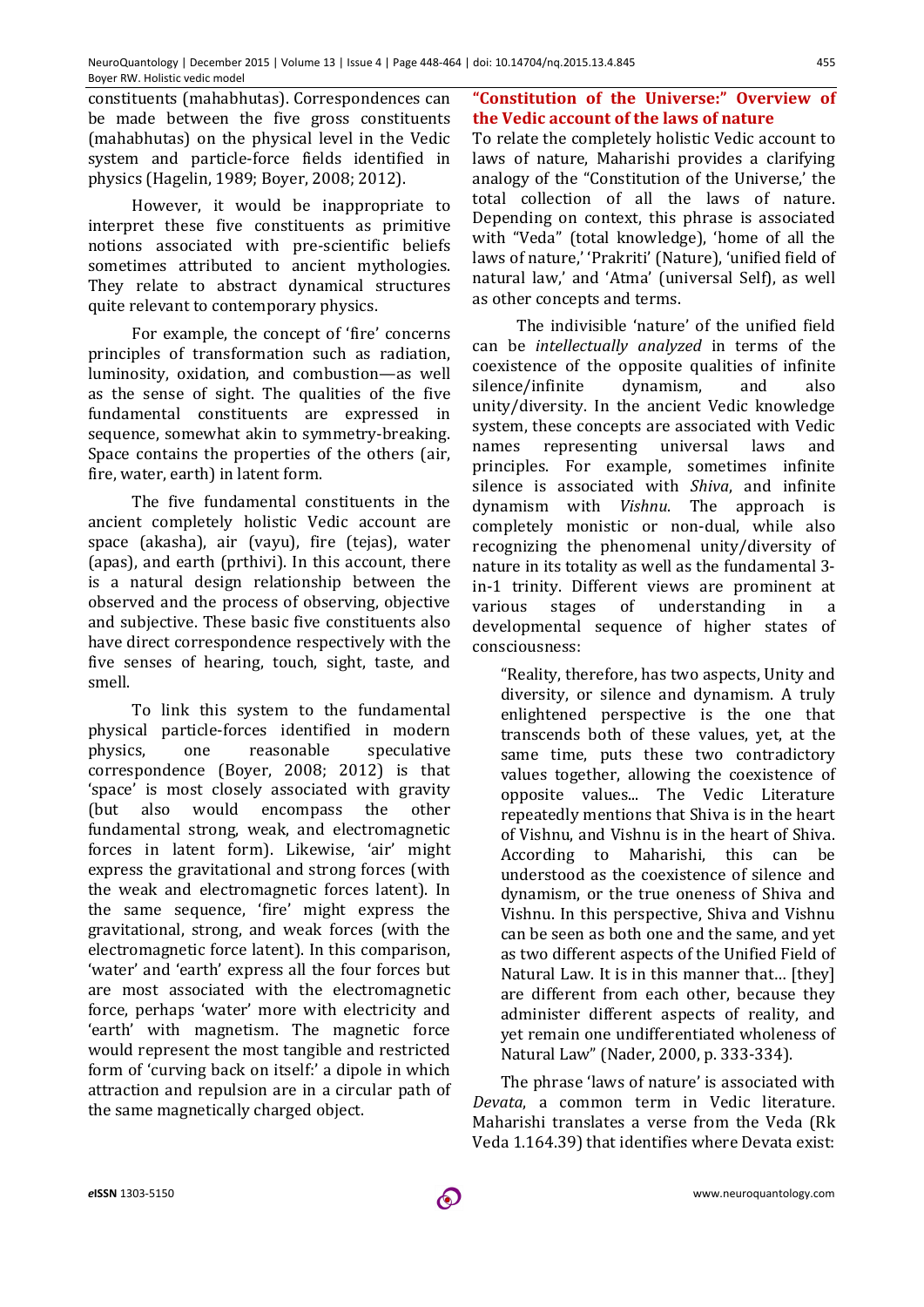constituents (mahabhutas). Correspondences can be made between the five gross constituents (mahabhutas) on the physical level in the Vedic system and particle-force fields identified in physics (Hagelin, 1989; Boyer, 2008; 2012).

However, it would be inappropriate to interpret these five constituents as primitive notions associated with pre-scientific beliefs sometimes attributed to ancient mythologies. They relate to abstract dynamical structures quite relevant to contemporary physics.

For example, the concept of 'fire' concerns principles of transformation such as radiation, luminosity, oxidation, and combustion—as well as the sense of sight. The qualities of the five fundamental constituents are expressed in sequence, somewhat akin to symmetry-breaking. Space contains the properties of the others (air, fire, water, earth) in latent form.

The five fundamental constituents in the ancient completely holistic Vedic account are space (akasha), air (vayu), fire (tejas), water (apas), and earth (prthivi). In this account, there is a natural design relationship between the observed and the process of observing, objective and subjective. These basic five constituents also have direct correspondence respectively with the five senses of hearing, touch, sight, taste, and smell.

To link this system to the fundamental physical particle-forces identified in modern physics, one reasonable speculative correspondence (Boyer, 2008; 2012) is that 'space' is most closely associated with gravity (but also would encompass the other fundamental strong, weak, and electromagnetic forces in latent form). Likewise, 'air' might express the gravitational and strong forces (with the weak and electromagnetic forces latent). In the same sequence, 'fire' might express the gravitational, strong, and weak forces (with the electromagnetic force latent). In this comparison, 'water' and 'earth' express all the four forces but are most associated with the electromagnetic force, perhaps 'water' more with electricity and 'earth' with magnetism. The magnetic force would represent the most tangible and restricted form of 'curving back on itself:' a dipole in which attraction and repulsion are in a circular path of the same magnetically charged object.

# **"Constitution of the Universe:" Overview of the Vedic account of the laws of nature**

To relate the completely holistic Vedic account to laws of nature, Maharishi provides a clarifying analogy of the "Constitution of the Universe,' the total collection of all the laws of nature. Depending on context, this phrase is associated with "Veda" (total knowledge), 'home of all the laws of nature,' 'Prakriti' (Nature), 'unified field of natural law,' and 'Atma' (universal Self), as well as other concepts and terms.

The indivisible 'nature' of the unified field can be *intellectually analyzed* in terms of the coexistence of the opposite qualities of infinite silence/infinite dynamism, and also unity/diversity. In the ancient Vedic knowledge system, these concepts are associated with Vedic names representing universal laws and principles. For example, sometimes infinite silence is associated with *Shiva*, and infinite dynamism with *Vishnu*. The approach is completely monistic or non-dual, while also recognizing the phenomenal unity/diversity of nature in its totality as well as the fundamental 3 in-1 trinity. Different views are prominent at various stages of understanding in a developmental sequence of higher states of consciousness:

"Reality, therefore, has two aspects, Unity and diversity, or silence and dynamism. A truly enlightened perspective is the one that transcends both of these values, yet, at the same time, puts these two contradictory values together, allowing the coexistence of opposite values... The Vedic Literature repeatedly mentions that Shiva is in the heart of Vishnu, and Vishnu is in the heart of Shiva. According to Maharishi, this can be understood as the coexistence of silence and dynamism, or the true oneness of Shiva and Vishnu. In this perspective, Shiva and Vishnu can be seen as both one and the same, and yet as two different aspects of the Unified Field of Natural Law. It is in this manner that… [they] are different from each other, because they administer different aspects of reality, and yet remain one undifferentiated wholeness of Natural Law" (Nader, 2000, p. 333-334).

The phrase 'laws of nature' is associated with *Devata*, a common term in Vedic literature. Maharishi translates a verse from the Veda (Rk Veda 1.164.39) that identifies where Devata exist: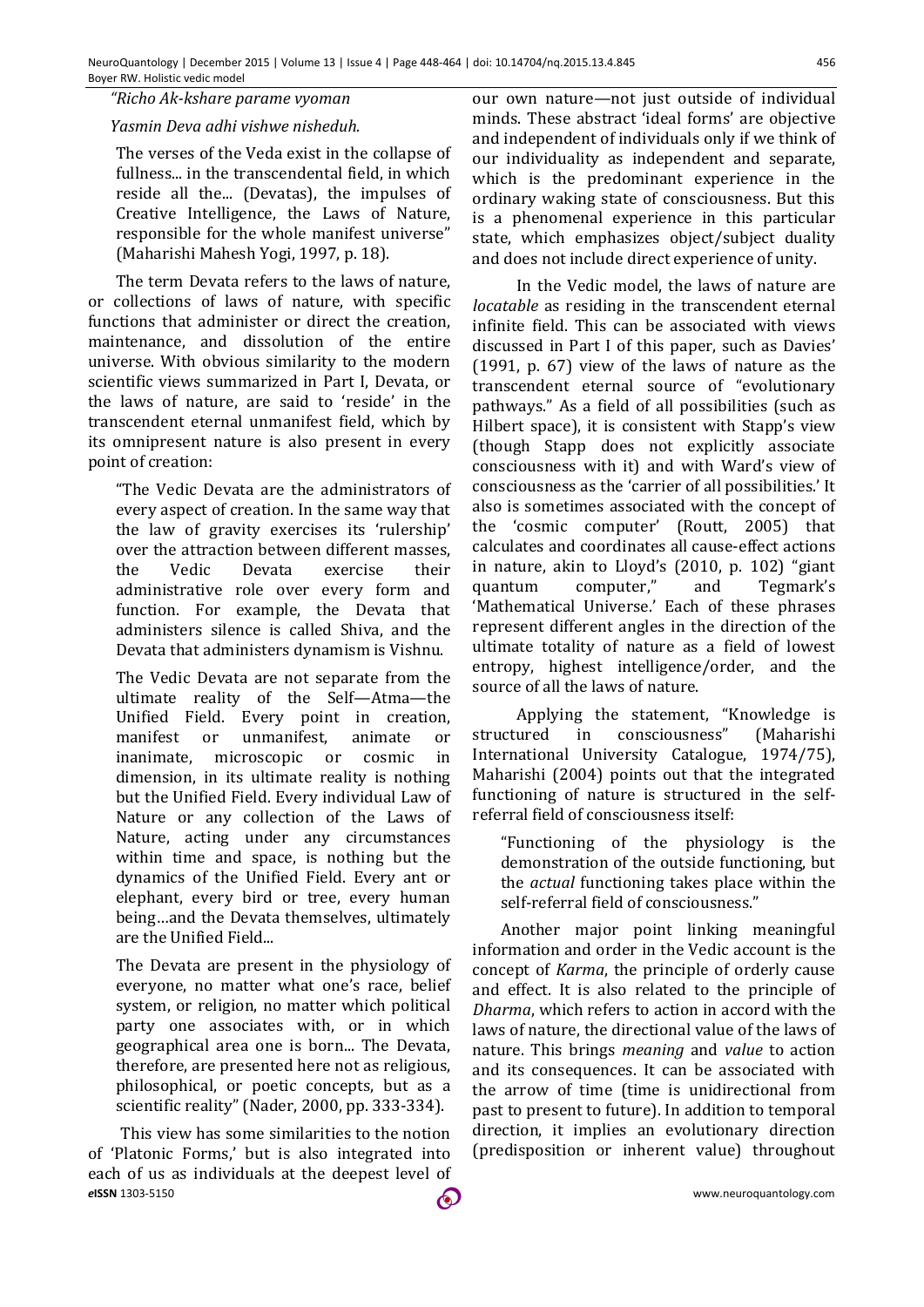*"Richo Ak-kshare parame vyoman*

*Yasmin Deva adhi vishwe nisheduh.*

The verses of the Veda exist in the collapse of fullness... in the transcendental field, in which reside all the... (Devatas), the impulses of Creative Intelligence, the Laws of Nature, responsible for the whole manifest universe" (Maharishi Mahesh Yogi, 1997, p. 18).

The term Devata refers to the laws of nature, or collections of laws of nature, with specific functions that administer or direct the creation, maintenance, and dissolution of the entire universe. With obvious similarity to the modern scientific views summarized in Part I, Devata, or the laws of nature, are said to 'reside' in the transcendent eternal unmanifest field, which by its omnipresent nature is also present in every point of creation:

"The Vedic Devata are the administrators of every aspect of creation. In the same way that the law of gravity exercises its 'rulership' over the attraction between different masses, the Vedic Devata exercise their administrative role over every form and function. For example, the Devata that administers silence is called Shiva, and the Devata that administers dynamism is Vishnu.

The Vedic Devata are not separate from the ultimate reality of the Self—Atma—the Unified Field. Every point in creation, manifest or unmanifest, animate or inanimate, microscopic or cosmic in dimension, in its ultimate reality is nothing but the Unified Field. Every individual Law of Nature or any collection of the Laws of Nature, acting under any circumstances within time and space, is nothing but the dynamics of the Unified Field. Every ant or elephant, every bird or tree, every human being…and the Devata themselves, ultimately are the Unified Field...

The Devata are present in the physiology of everyone, no matter what one's race, belief system, or religion, no matter which political party one associates with, or in which geographical area one is born... The Devata, therefore, are presented here not as religious, philosophical, or poetic concepts, but as a scientific reality" (Nader, 2000, pp. 333-334).

*e***ISSN** 1303-5150 www.neuroquantology.com This view has some similarities to the notion of 'Platonic Forms,' but is also integrated into each of us as individuals at the deepest level of

our own nature—not just outside of individual minds. These abstract 'ideal forms' are objective and independent of individuals only if we think of our individuality as independent and separate, which is the predominant experience in the ordinary waking state of consciousness. But this is a phenomenal experience in this particular state, which emphasizes object/subject duality and does not include direct experience of unity.

In the Vedic model, the laws of nature are *locatable* as residing in the transcendent eternal infinite field. This can be associated with views discussed in Part I of this paper, such as Davies' (1991, p. 67) view of the laws of nature as the transcendent eternal source of "evolutionary pathways." As a field of all possibilities (such as Hilbert space), it is consistent with Stapp's view (though Stapp does not explicitly associate consciousness with it) and with Ward's view of consciousness as the 'carrier of all possibilities.' It also is sometimes associated with the concept of the 'cosmic computer' (Routt, 2005) that calculates and coordinates all cause-effect actions in nature, akin to Lloyd's (2010, p. 102) "giant quantum computer," and Tegmark's 'Mathematical Universe.' Each of these phrases represent different angles in the direction of the ultimate totality of nature as a field of lowest entropy, highest intelligence/order, and the source of all the laws of nature.

Applying the statement, "Knowledge is structured in consciousness" (Maharishi International University Catalogue, 1974/75), Maharishi (2004) points out that the integrated functioning of nature is structured in the selfreferral field of consciousness itself:

"Functioning of the physiology is the demonstration of the outside functioning, but the *actual* functioning takes place within the self-referral field of consciousness."

Another major point linking meaningful information and order in the Vedic account is the concept of *Karma*, the principle of orderly cause and effect. It is also related to the principle of *Dharma*, which refers to action in accord with the laws of nature, the directional value of the laws of nature. This brings *meaning*  and *value* to action and its consequences. It can be associated with the arrow of time (time is unidirectional from past to present to future). In addition to temporal direction, it implies an evolutionary direction (predisposition or inherent value) throughout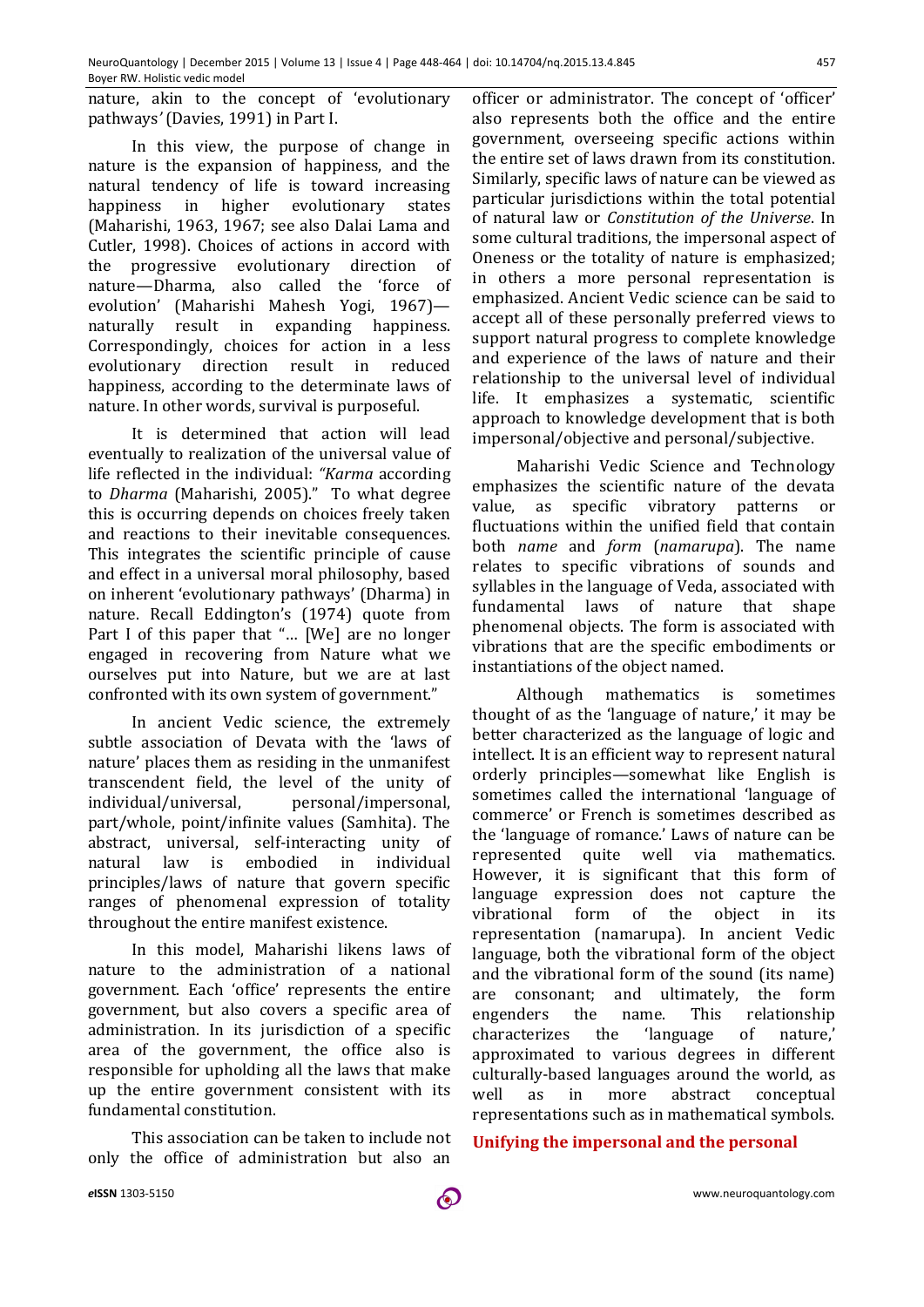nature, akin to the concept of 'evolutionary pathways' (Davies, 1991) in Part I.

In this view, the purpose of change in nature is the expansion of happiness, and the natural tendency of life is toward increasing happiness in higher evolutionary states (Maharishi, 1963, 1967; see also Dalai Lama and Cutler, 1998). Choices of actions in accord with the progressive evolutionary direction of nature—Dharma, also called the 'force of evolution' (Maharishi Mahesh Yogi, 1967) naturally result in expanding happiness. Correspondingly, choices for action in a less evolutionary direction result in reduced happiness, according to the determinate laws of nature. In other words, survival is purposeful.

It is determined that action will lead eventually to realization of the universal value of life reflected in the individual: *"Karma* according to *Dharma* (Maharishi, 2005)." To what degree this is occurring depends on choices freely taken and reactions to their inevitable consequences. This integrates the scientific principle of cause and effect in a universal moral philosophy, based on inherent 'evolutionary pathways' (Dharma) in nature. Recall Eddington's (1974) quote from Part I of this paper that "… [We] are no longer engaged in recovering from Nature what we ourselves put into Nature, but we are at last confronted with its own system of government."

In ancient Vedic science, the extremely subtle association of Devata with the 'laws of nature' places them as residing in the unmanifest transcendent field, the level of the unity of individual/universal, personal/impersonal, part/whole, point/infinite values (Samhita). The abstract, universal, self-interacting unity of natural law is embodied in individual principles/laws of nature that govern specific ranges of phenomenal expression of totality throughout the entire manifest existence.

In this model, Maharishi likens laws of nature to the administration of a national government. Each 'office' represents the entire government, but also covers a specific area of administration. In its jurisdiction of a specific area of the government, the office also is responsible for upholding all the laws that make up the entire government consistent with its fundamental constitution.

This association can be taken to include not only the office of administration but also an

officer or administrator. The concept of 'officer' also represents both the office and the entire government, overseeing specific actions within the entire set of laws drawn from its constitution. Similarly, specific laws of nature can be viewed as particular jurisdictions within the total potential of natural law or *Constitution of the Universe*. In some cultural traditions, the impersonal aspect of Oneness or the totality of nature is emphasized; in others a more personal representation is emphasized. Ancient Vedic science can be said to accept all of these personally preferred views to support natural progress to complete knowledge and experience of the laws of nature and their relationship to the universal level of individual life. It emphasizes a systematic, scientific approach to knowledge development that is both impersonal/objective and personal/subjective.

Maharishi Vedic Science and Technology emphasizes the scientific nature of the devata value, as specific vibratory patterns or fluctuations within the unified field that contain both *name* and *form* (*namarupa*). The name relates to specific vibrations of sounds and syllables in the language of Veda, associated with fundamental laws of nature that shape phenomenal objects. The form is associated with vibrations that are the specific embodiments or instantiations of the object named.

Although mathematics is sometimes thought of as the 'language of nature,' it may be better characterized as the language of logic and intellect. It is an efficient way to represent natural orderly principles—somewhat like English is sometimes called the international 'language of commerce' or French is sometimes described as the 'language of romance.' Laws of nature can be represented quite well via mathematics. However, it is significant that this form of language expression does not capture the vibrational form of the object in its representation (namarupa). In ancient Vedic language, both the vibrational form of the object and the vibrational form of the sound (its name) are consonant; and ultimately, the form engenders the name. This relationship characterizes the 'language of nature,' approximated to various degrees in different culturally-based languages around the world, as well as in more abstract conceptual representations such as in mathematical symbols.

**Unifying the impersonal and the personal**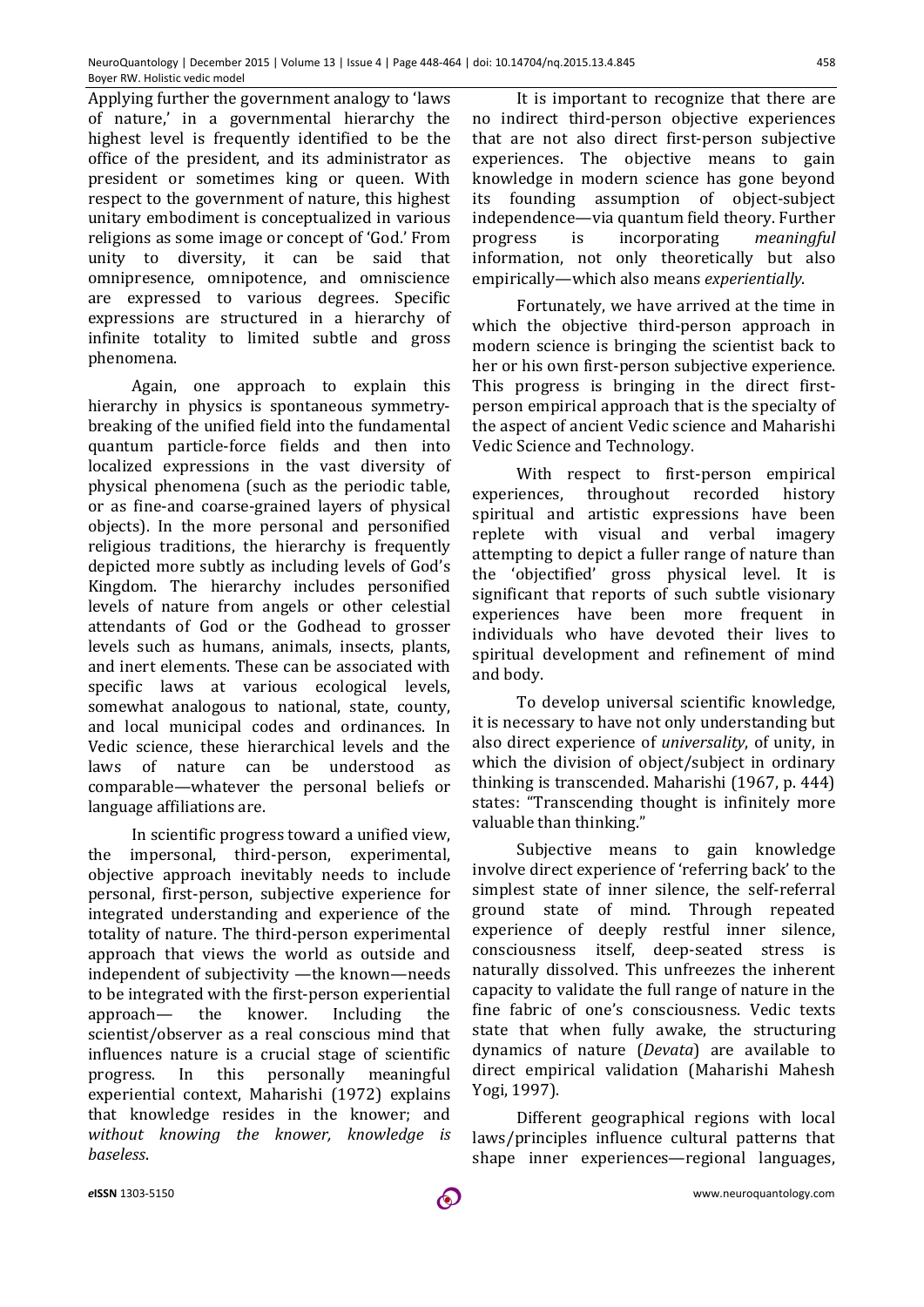NeuroQuantology | December 2015 | Volume 13 | Issue 4 | Page 448-464 | doi: 10.14704/nq.2015.13.4.845 Boyer RW. Holistic vedic model

Applying further the government analogy to 'laws of nature,' in a governmental hierarchy the highest level is frequently identified to be the office of the president, and its administrator as president or sometimes king or queen. With respect to the government of nature, this highest unitary embodiment is conceptualized in various religions as some image or concept of 'God.' From unity to diversity, it can be said that omnipresence, omnipotence, and omniscience are expressed to various degrees. Specific expressions are structured in a hierarchy of infinite totality to limited subtle and gross phenomena.

Again, one approach to explain this hierarchy in physics is spontaneous symmetrybreaking of the unified field into the fundamental quantum particle-force fields and then into localized expressions in the vast diversity of physical phenomena (such as the periodic table, or as fine-and coarse-grained layers of physical objects). In the more personal and personified religious traditions, the hierarchy is frequently depicted more subtly as including levels of God's Kingdom. The hierarchy includes personified levels of nature from angels or other celestial attendants of God or the Godhead to grosser levels such as humans, animals, insects, plants, and inert elements. These can be associated with specific laws at various ecological levels, somewhat analogous to national, state, county, and local municipal codes and ordinances. In Vedic science, these hierarchical levels and the laws of nature can be understood as comparable—whatever the personal beliefs or language affiliations are.

In scientific progress toward a unified view, the impersonal, third-person, experimental, objective approach inevitably needs to include personal, first-person, subjective experience for integrated understanding and experience of the totality of nature. The third-person experimental approach that views the world as outside and independent of subjectivity —the known—needs to be integrated with the first-person experiential approach— the knower. Including the scientist/observer as a real conscious mind that influences nature is a crucial stage of scientific progress. In this personally meaningful experiential context, Maharishi (1972) explains that knowledge resides in the knower; and without knowing the knower, knowledge is *baseless*.

It is important to recognize that there are no indirect third-person objective experiences that are not also direct first-person subjective experiences. The objective means to gain knowledge in modern science has gone beyond its founding assumption of object-subject independence—via quantum field theory. Further progress is incorporating *meaningful* information, not only theoretically but also empirically—which also means *experientially*.

Fortunately, we have arrived at the time in which the objective third-person approach in modern science is bringing the scientist back to her or his own first-person subjective experience. This progress is bringing in the direct firstperson empirical approach that is the specialty of the aspect of ancient Vedic science and Maharishi Vedic Science and Technology.

With respect to first-person empirical experiences, throughout recorded history spiritual and artistic expressions have been replete with visual and verbal imagery attempting to depict a fuller range of nature than the 'objectified' gross physical level. It is significant that reports of such subtle visionary experiences have been more frequent in individuals who have devoted their lives to spiritual development and refinement of mind and body.

To develop universal scientific knowledge, it is necessary to have not only understanding but also direct experience of *universality*, of unity, in which the division of object/subject in ordinary thinking is transcended. Maharishi (1967, p. 444) states: "Transcending thought is infinitely more valuable than thinking."

Subjective means to gain knowledge involve direct experience of 'referring back' to the simplest state of inner silence, the self-referral ground state of mind. Through repeated experience of deeply restful inner silence, consciousness itself, deep-seated stress is naturally dissolved. This unfreezes the inherent capacity to validate the full range of nature in the fine fabric of one's consciousness. Vedic texts state that when fully awake, the structuring dynamics of nature (*Devata*) are available to direct empirical validation (Maharishi Mahesh Yogi, 1997).

Different geographical regions with local laws/principles influence cultural patterns that shape inner experiences—regional languages,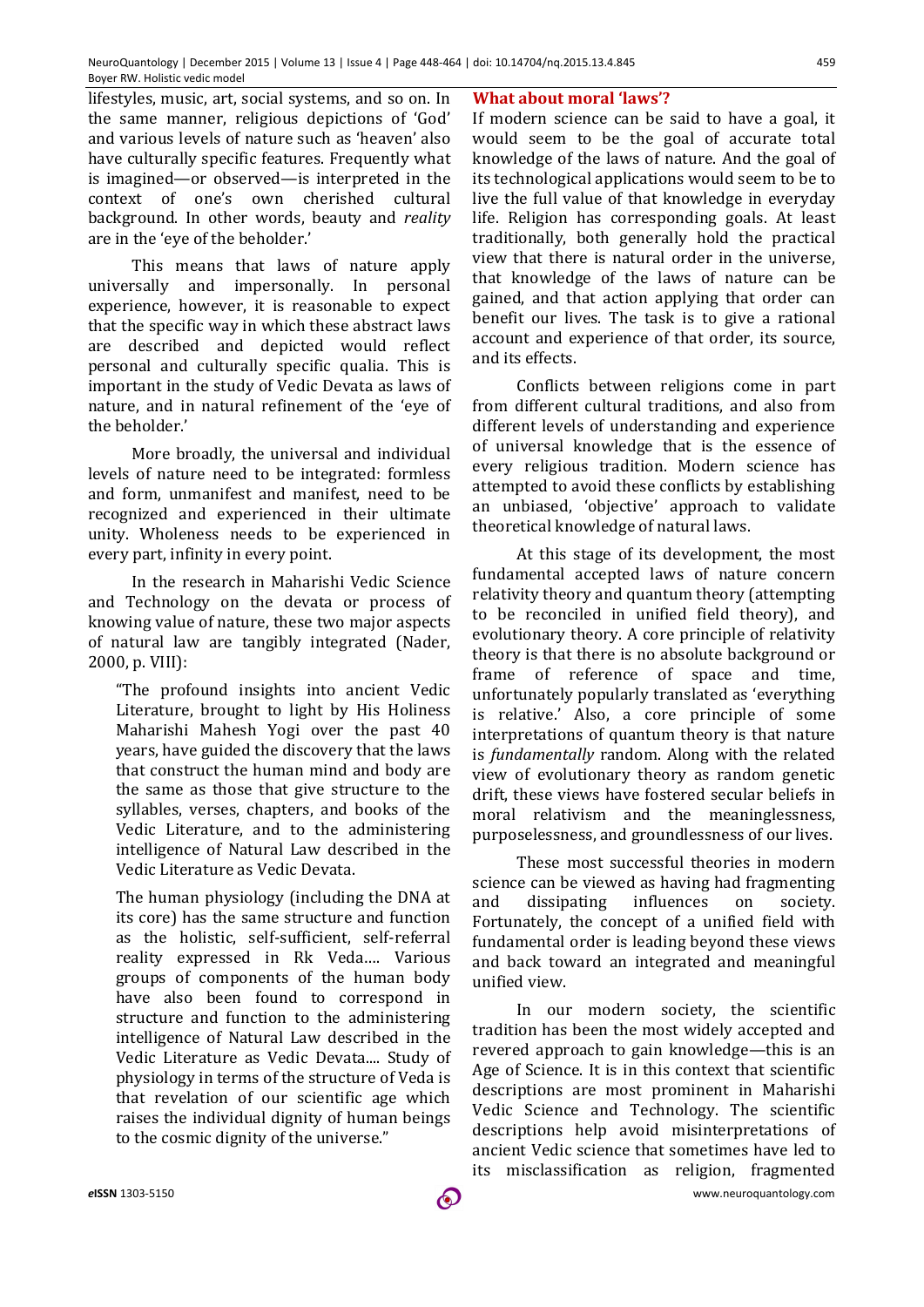459

lifestyles, music, art, social systems, and so on. In the same manner, religious depictions of 'God' and various levels of nature such as 'heaven' also have culturally specific features. Frequently what is imagined—or observed—is interpreted in the context of one's own cherished cultural background. In other words, beauty and *reality* are in the 'eye of the beholder.'

This means that laws of nature apply universally and impersonally. In personal experience, however, it is reasonable to expect that the specific way in which these abstract laws are described and depicted would reflect personal and culturally specific qualia. This is important in the study of Vedic Devata as laws of nature, and in natural refinement of the 'eye of the beholder.'

More broadly, the universal and individual levels of nature need to be integrated: formless and form, unmanifest and manifest, need to be recognized and experienced in their ultimate unity. Wholeness needs to be experienced in every part, infinity in every point.

In the research in Maharishi Vedic Science and Technology on the devata or process of knowing value of nature, these two major aspects of natural law are tangibly integrated (Nader, 2000, p. VIII):

"The profound insights into ancient Vedic Literature, brought to light by His Holiness Maharishi Mahesh Yogi over the past 40 years, have guided the discovery that the laws that construct the human mind and body are the same as those that give structure to the syllables, verses, chapters, and books of the Vedic Literature, and to the administering intelligence of Natural Law described in the Vedic Literature as Vedic Devata.

The human physiology (including the DNA at its core) has the same structure and function as the holistic, self-sufficient, self-referral reality expressed in Rk Veda…. Various groups of components of the human body have also been found to correspond in structure and function to the administering intelligence of Natural Law described in the Vedic Literature as Vedic Devata.... Study of physiology in terms of the structure of Veda is that revelation of our scientific age which raises the individual dignity of human beings to the cosmic dignity of the universe."

#### **What about moral 'laws'?**

If modern science can be said to have a goal, it would seem to be the goal of accurate total knowledge of the laws of nature. And the goal of its technological applications would seem to be to live the full value of that knowledge in everyday life. Religion has corresponding goals. At least traditionally, both generally hold the practical view that there is natural order in the universe, that knowledge of the laws of nature can be gained, and that action applying that order can benefit our lives. The task is to give a rational account and experience of that order, its source, and its effects.

Conflicts between religions come in part from different cultural traditions, and also from different levels of understanding and experience of universal knowledge that is the essence of every religious tradition. Modern science has attempted to avoid these conflicts by establishing an unbiased, 'objective' approach to validate theoretical knowledge of natural laws.

At this stage of its development, the most fundamental accepted laws of nature concern relativity theory and quantum theory (attempting to be reconciled in unified field theory), and evolutionary theory. A core principle of relativity theory is that there is no absolute background or frame of reference of space and time, unfortunately popularly translated as 'everything is relative.' Also, a core principle of some interpretations of quantum theory is that nature is *fundamentally* random. Along with the related view of evolutionary theory as random genetic drift, these views have fostered secular beliefs in moral relativism and the meaninglessness, purposelessness, and groundlessness of our lives.

These most successful theories in modern science can be viewed as having had fragmenting and dissipating influences on society. Fortunately, the concept of a unified field with fundamental order is leading beyond these views and back toward an integrated and meaningful unified view.

In our modern society, the scientific tradition has been the most widely accepted and revered approach to gain knowledge—this is an Age of Science. It is in this context that scientific descriptions are most prominent in Maharishi Vedic Science and Technology. The scientific descriptions help avoid misinterpretations of ancient Vedic science that sometimes have led to its misclassification as religion, fragmented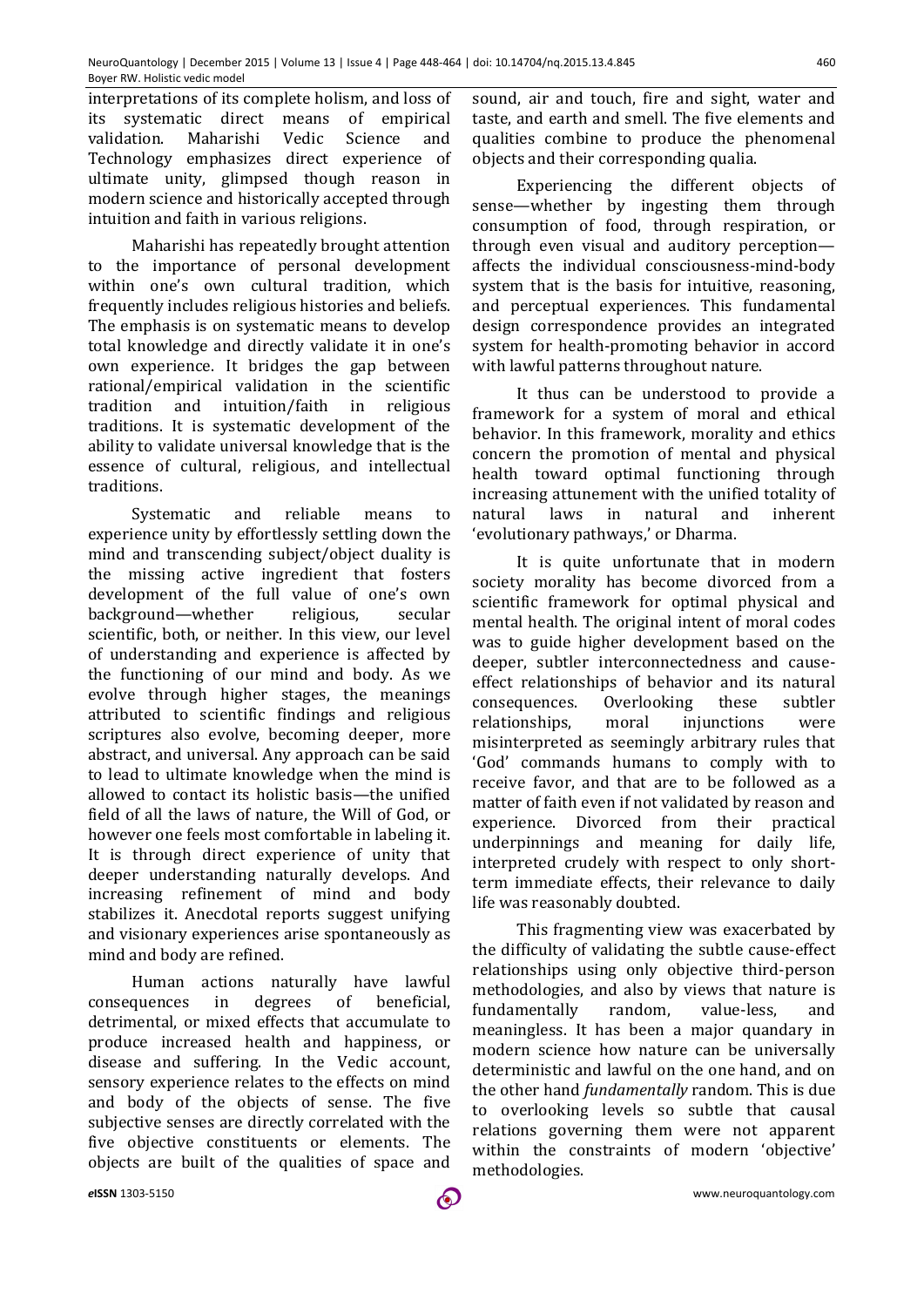interpretations of its complete holism, and loss of its systematic direct means of empirical validation. Maharishi Vedic Science and Technology emphasizes direct experience of ultimate unity, glimpsed though reason in modern science and historically accepted through intuition and faith in various religions.

Maharishi has repeatedly brought attention to the importance of personal development within one's own cultural tradition, which frequently includes religious histories and beliefs. The emphasis is on systematic means to develop total knowledge and directly validate it in one's own experience. It bridges the gap between rational/empirical validation in the scientific tradition and intuition/faith in religious traditions. It is systematic development of the ability to validate universal knowledge that is the essence of cultural, religious, and intellectual traditions.

Systematic and reliable means to experience unity by effortlessly settling down the mind and transcending subject/object duality is the missing active ingredient that fosters development of the full value of one's own background—whether religious, secular scientific, both, or neither. In this view, our level of understanding and experience is affected by the functioning of our mind and body. As we evolve through higher stages, the meanings attributed to scientific findings and religious scriptures also evolve, becoming deeper, more abstract, and universal. Any approach can be said to lead to ultimate knowledge when the mind is allowed to contact its holistic basis—the unified field of all the laws of nature, the Will of God, or however one feels most comfortable in labeling it. It is through direct experience of unity that deeper understanding naturally develops. And increasing refinement of mind and body stabilizes it. Anecdotal reports suggest unifying and visionary experiences arise spontaneously as mind and body are refined.

Human actions naturally have lawful consequences in degrees of beneficial, detrimental, or mixed effects that accumulate to produce increased health and happiness, or disease and suffering. In the Vedic account, sensory experience relates to the effects on mind and body of the objects of sense. The five subjective senses are directly correlated with the five objective constituents or elements. The objects are built of the qualities of space and sound, air and touch, fire and sight, water and taste, and earth and smell. The five elements and qualities combine to produce the phenomenal objects and their corresponding qualia.

Experiencing the different objects of sense—whether by ingesting them through consumption of food, through respiration, or through even visual and auditory perception affects the individual consciousness-mind-body system that is the basis for intuitive, reasoning, and perceptual experiences. This fundamental design correspondence provides an integrated system for health-promoting behavior in accord with lawful patterns throughout nature.

It thus can be understood to provide a framework for a system of moral and ethical behavior. In this framework, morality and ethics concern the promotion of mental and physical health toward optimal functioning through increasing attunement with the unified totality of natural laws in natural and inherent 'evolutionary pathways,' or Dharma.

It is quite unfortunate that in modern society morality has become divorced from a scientific framework for optimal physical and mental health. The original intent of moral codes was to guide higher development based on the deeper, subtler interconnectedness and causeeffect relationships of behavior and its natural consequences. Overlooking these subtler relationships, moral injunctions were misinterpreted as seemingly arbitrary rules that 'God' commands humans to comply with to receive favor, and that are to be followed as a matter of faith even if not validated by reason and experience. Divorced from their practical underpinnings and meaning for daily life, interpreted crudely with respect to only shortterm immediate effects, their relevance to daily life was reasonably doubted.

This fragmenting view was exacerbated by the difficulty of validating the subtle cause-effect relationships using only objective third-person methodologies, and also by views that nature is fundamentally random, value-less, and meaningless. It has been a major quandary in modern science how nature can be universally deterministic and lawful on the one hand, and on the other hand *fundamentally* random. This is due to overlooking levels so subtle that causal relations governing them were not apparent within the constraints of modern 'objective' methodologies.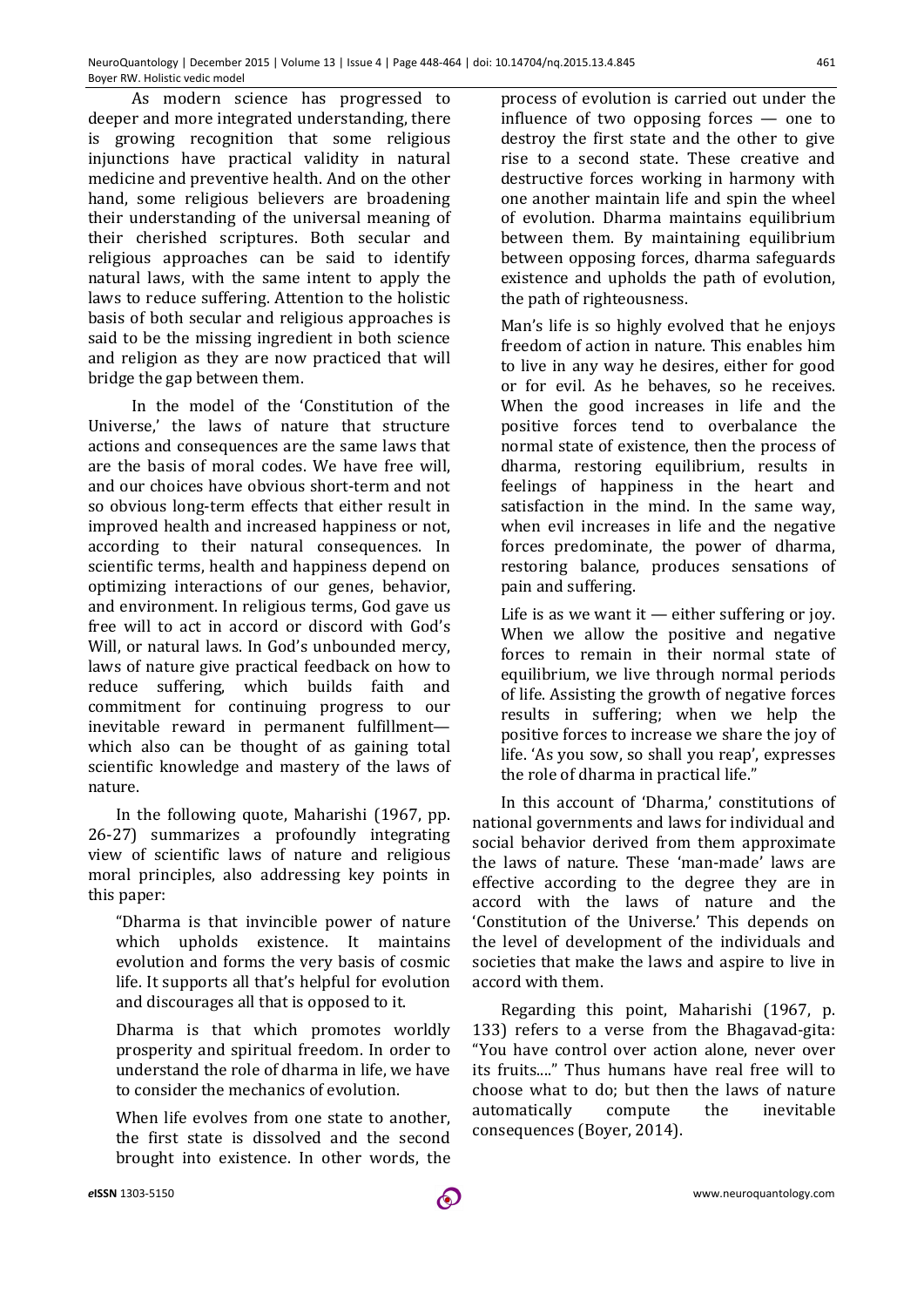As modern science has progressed to deeper and more integrated understanding, there is growing recognition that some religious injunctions have practical validity in natural medicine and preventive health. And on the other hand, some religious believers are broadening their understanding of the universal meaning of their cherished scriptures. Both secular and religious approaches can be said to identify natural laws, with the same intent to apply the laws to reduce suffering. Attention to the holistic basis of both secular and religious approaches is said to be the missing ingredient in both science and religion as they are now practiced that will bridge the gap between them.

In the model of the 'Constitution of the Universe,' the laws of nature that structure actions and consequences are the same laws that are the basis of moral codes. We have free will, and our choices have obvious short-term and not so obvious long-term effects that either result in improved health and increased happiness or not, according to their natural consequences. In scientific terms, health and happiness depend on optimizing interactions of our genes, behavior, and environment. In religious terms, God gave us free will to act in accord or discord with God's Will, or natural laws. In God's unbounded mercy, laws of nature give practical feedback on how to reduce suffering, which builds faith and commitment for continuing progress to our inevitable reward in permanent fulfillment which also can be thought of as gaining total scientific knowledge and mastery of the laws of nature.

In the following quote, Maharishi (1967, pp. 26-27) summarizes a profoundly integrating view of scientific laws of nature and religious moral principles, also addressing key points in this paper:

"Dharma is that invincible power of nature which upholds existence. It maintains evolution and forms the very basis of cosmic life. It supports all that's helpful for evolution and discourages all that is opposed to it.

Dharma is that which promotes worldly prosperity and spiritual freedom. In order to understand the role of dharma in life, we have to consider the mechanics of evolution.

When life evolves from one state to another, the first state is dissolved and the second brought into existence. In other words, the

process of evolution is carried out under the influence of two opposing forces — one to destroy the first state and the other to give rise to a second state. These creative and destructive forces working in harmony with one another maintain life and spin the wheel of evolution. Dharma maintains equilibrium between them. By maintaining equilibrium between opposing forces, dharma safeguards existence and upholds the path of evolution, the path of righteousness.

Man's life is so highly evolved that he enjoys freedom of action in nature. This enables him to live in any way he desires, either for good or for evil. As he behaves, so he receives. When the good increases in life and the positive forces tend to overbalance the normal state of existence, then the process of dharma, restoring equilibrium, results in feelings of happiness in the heart and satisfaction in the mind. In the same way, when evil increases in life and the negative forces predominate, the power of dharma, restoring balance, produces sensations of pain and suffering.

Life is as we want it  $-$  either suffering or joy. When we allow the positive and negative forces to remain in their normal state of equilibrium, we live through normal periods of life. Assisting the growth of negative forces results in suffering; when we help the positive forces to increase we share the joy of life. 'As you sow, so shall you reap', expresses the role of dharma in practical life."

In this account of 'Dharma,' constitutions of national governments and laws for individual and social behavior derived from them approximate the laws of nature. These 'man-made' laws are effective according to the degree they are in accord with the laws of nature and the 'Constitution of the Universe.' This depends on the level of development of the individuals and societies that make the laws and aspire to live in accord with them.

Regarding this point, Maharishi (1967, p. 133) refers to a verse from the Bhagavad-gita: "You have control over action alone, never over its fruits...." Thus humans have real free will to choose what to do; but then the laws of nature automatically compute the inevitable consequences (Boyer, 2014).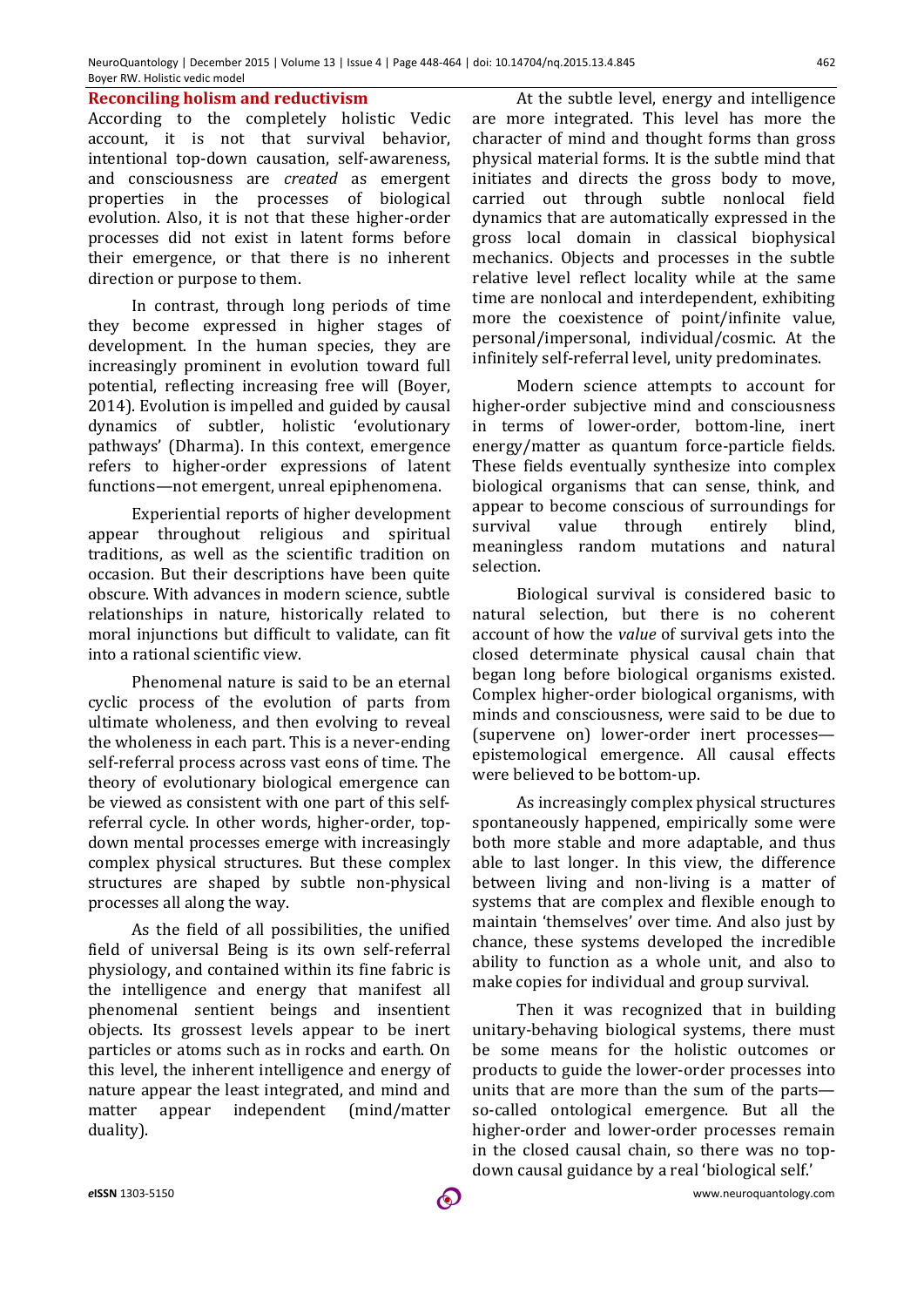#### **Reconciling holism and reductivism**

According to the completely holistic Vedic account, it is not that survival behavior, intentional top-down causation, self-awareness, and consciousness are *created*  as emergent properties in the processes of biological evolution. Also, it is not that these higher-order processes did not exist in latent forms before their emergence, or that there is no inherent direction or purpose to them.

In contrast, through long periods of time they become expressed in higher stages of development. In the human species, they are increasingly prominent in evolution toward full potential, reflecting increasing free will (Boyer, 2014). Evolution is impelled and guided by causal dynamics of subtler, holistic 'evolutionary pathways' (Dharma). In this context, emergence refers to higher-order expressions of latent functions—not emergent, unreal epiphenomena.

Experiential reports of higher development appear throughout religious and spiritual traditions, as well as the scientific tradition on occasion. But their descriptions have been quite obscure. With advances in modern science, subtle relationships in nature, historically related to moral injunctions but difficult to validate, can fit into a rational scientific view.

Phenomenal nature is said to be an eternal cyclic process of the evolution of parts from ultimate wholeness, and then evolving to reveal the wholeness in each part. This is a never-ending self-referral process across vast eons of time. The theory of evolutionary biological emergence can be viewed as consistent with one part of this selfreferral cycle. In other words, higher-order, topdown mental processes emerge with increasingly complex physical structures. But these complex structures are shaped by subtle non-physical processes all along the way.

As the field of all possibilities, the unified field of universal Being is its own self-referral physiology, and contained within its fine fabric is the intelligence and energy that manifest all phenomenal sentient beings and insentient objects. Its grossest levels appear to be inert particles or atoms such as in rocks and earth. On this level, the inherent intelligence and energy of nature appear the least integrated, and mind and matter appear independent (mind/matter duality).

At the subtle level, energy and intelligence are more integrated. This level has more the character of mind and thought forms than gross physical material forms. It is the subtle mind that initiates and directs the gross body to move, carried out through subtle nonlocal field dynamics that are automatically expressed in the gross local domain in classical biophysical mechanics. Objects and processes in the subtle relative level reflect locality while at the same time are nonlocal and interdependent, exhibiting more the coexistence of point/infinite value, personal/impersonal, individual/cosmic. At the infinitely self-referral level, unity predominates.

Modern science attempts to account for higher-order subjective mind and consciousness in terms of lower-order, bottom-line, inert energy/matter as quantum force-particle fields. These fields eventually synthesize into complex biological organisms that can sense, think, and appear to become conscious of surroundings for survival value through entirely blind, meaningless random mutations and natural selection.

Biological survival is considered basic to natural selection, but there is no coherent account of how the *value* of survival gets into the closed determinate physical causal chain that began long before biological organisms existed. Complex higher-order biological organisms, with minds and consciousness, were said to be due to (supervene on) lower-order inert processes epistemological emergence. All causal effects were believed to be bottom-up.

As increasingly complex physical structures spontaneously happened, empirically some were both more stable and more adaptable, and thus able to last longer. In this view, the difference between living and non-living is a matter of systems that are complex and flexible enough to maintain 'themselves' over time. And also just by chance, these systems developed the incredible ability to function as a whole unit, and also to make copies for individual and group survival.

Then it was recognized that in building unitary-behaving biological systems, there must be some means for the holistic outcomes or products to guide the lower-order processes into units that are more than the sum of the parts so-called ontological emergence. But all the higher-order and lower-order processes remain in the closed causal chain, so there was no topdown causal guidance by a real 'biological self.'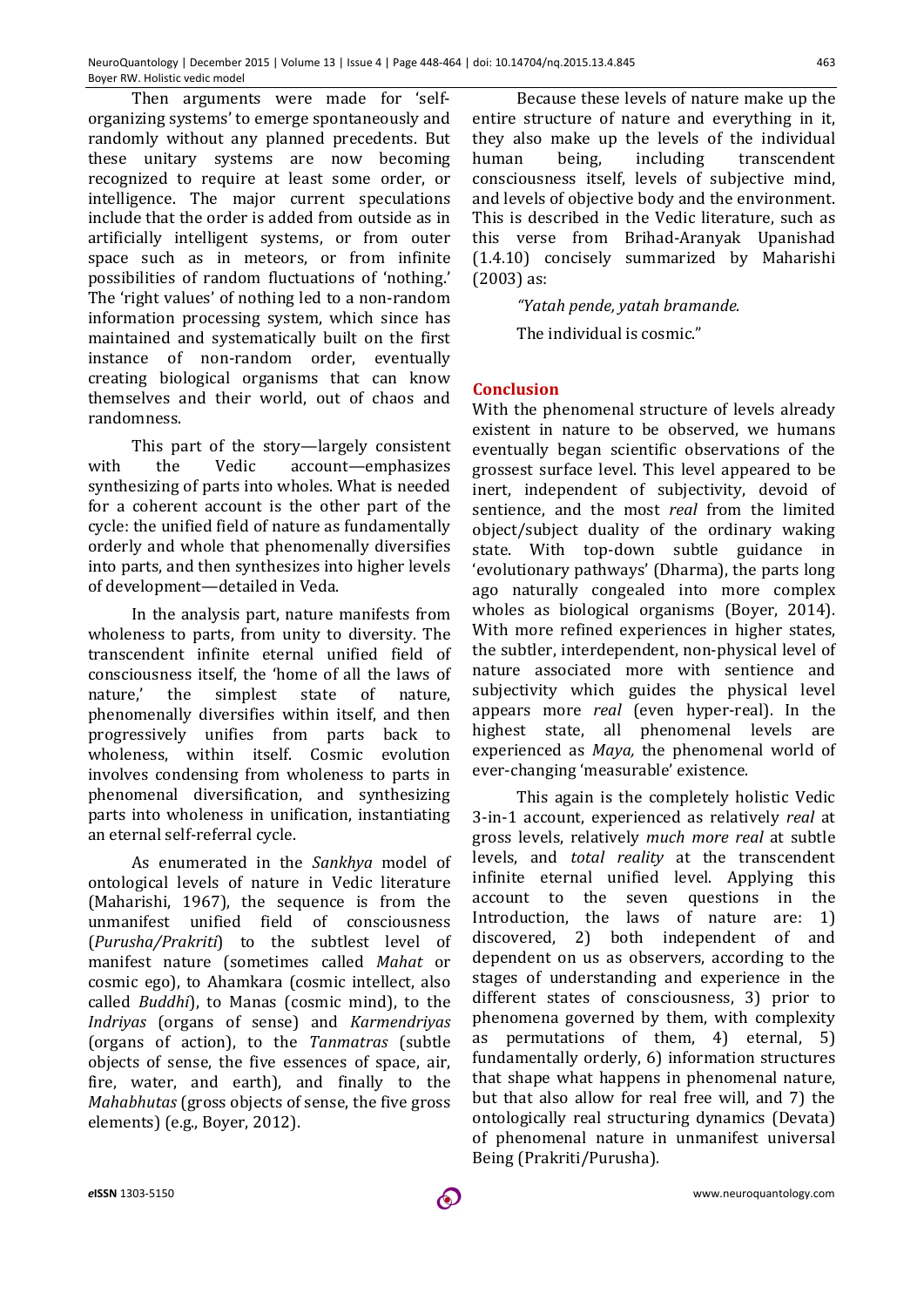Then arguments were made for 'selforganizing systems' to emerge spontaneously and randomly without any planned precedents. But these unitary systems are now becoming recognized to require at least some order, or intelligence. The major current speculations include that the order is added from outside as in artificially intelligent systems, or from outer space such as in meteors, or from infinite possibilities of random fluctuations of 'nothing.' The 'right values' of nothing led to a non-random information processing system, which since has maintained and systematically built on the first instance of non-random order, eventually creating biological organisms that can know themselves and their world, out of chaos and randomness.

This part of the story—largely consistent with the Vedic account—emphasizes synthesizing of parts into wholes. What is needed for a coherent account is the other part of the cycle: the unified field of nature as fundamentally orderly and whole that phenomenally diversifies into parts, and then synthesizes into higher levels of development—detailed in Veda.

In the analysis part, nature manifests from wholeness to parts, from unity to diversity. The transcendent infinite eternal unified field of consciousness itself, the 'home of all the laws of nature,' the simplest state of nature, phenomenally diversifies within itself, and then progressively unifies from parts back to wholeness, within itself. Cosmic evolution involves condensing from wholeness to parts in phenomenal diversification, and synthesizing parts into wholeness in unification, instantiating an eternal self-referral cycle.

As enumerated in the *Sankhya* model of ontological levels of nature in Vedic literature (Maharishi, 1967), the sequence is from the unmanifest unified field of consciousness (*Purusha/Prakriti*) to the subtlest level of manifest nature (sometimes called *Mahat* or cosmic ego), to Ahamkara (cosmic intellect, also called *Buddhi*), to Manas (cosmic mind), to the *Indriyas* (organs of sense) and *Karmendriyas* (organs of action), to the *Tanmatras*  (subtle objects of sense, the five essences of space, air, fire, water, and earth), and finally to the *Mahabhutas* (gross objects of sense, the five gross elements) (e.g., Boyer, 2012).

Because these levels of nature make up the entire structure of nature and everything in it, they also make up the levels of the individual human being, including transcendent consciousness itself, levels of subjective mind, and levels of objective body and the environment. This is described in the Vedic literature, such as this verse from Brihad-Aranyak Upanishad (1.4.10) concisely summarized by Maharishi (2003) as:

*"Yatah pende, yatah bramande.*

The individual is cosmic."

## **Conclusion**

With the phenomenal structure of levels already existent in nature to be observed, we humans eventually began scientific observations of the grossest surface level. This level appeared to be inert, independent of subjectivity, devoid of sentience, and the most *real*  from the limited object/subject duality of the ordinary waking state. With top-down subtle guidance in 'evolutionary pathways' (Dharma), the parts long ago naturally congealed into more complex wholes as biological organisms (Boyer, 2014). With more refined experiences in higher states, the subtler, interdependent, non-physical level of nature associated more with sentience and subjectivity which guides the physical level appears more *real* (even hyper-real). In the highest state, all phenomenal levels are experienced as *Maya*, the phenomenal world of ever-changing 'measurable' existence.

This again is the completely holistic Vedic 3-in-1 account, experienced as relatively *real* at gross levels, relatively *much more real* at subtle levels, and *total reality* at the transcendent infinite eternal unified level. Applying this account to the seven questions in the Introduction, the laws of nature are: 1) discovered, 2) both independent of and dependent on us as observers, according to the stages of understanding and experience in the different states of consciousness, 3) prior to phenomena governed by them, with complexity as permutations of them, 4) eternal, 5) fundamentally orderly, 6) information structures that shape what happens in phenomenal nature, but that also allow for real free will, and 7) the ontologically real structuring dynamics (Devata) of phenomenal nature in unmanifest universal Being (Prakriti/Purusha).